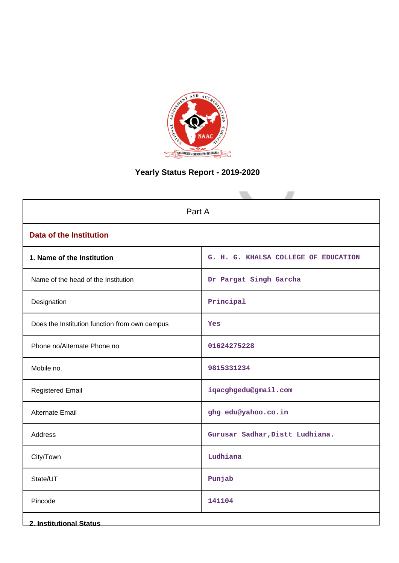

# **Yearly Status Report - 2019-2020**

| Part A                                        |                                      |  |
|-----------------------------------------------|--------------------------------------|--|
| <b>Data of the Institution</b>                |                                      |  |
| 1. Name of the Institution                    | G. H. G. KHALSA COLLEGE OF EDUCATION |  |
| Name of the head of the Institution           | Dr Pargat Singh Garcha               |  |
| Designation                                   | Principal                            |  |
| Does the Institution function from own campus | Yes                                  |  |
| Phone no/Alternate Phone no.                  | 01624275228                          |  |
| Mobile no.                                    | 9815331234                           |  |
| <b>Registered Email</b>                       | iqacghgedu@gmail.com                 |  |
| Alternate Email                               | ghg_edu@yahoo.co.in                  |  |
| <b>Address</b>                                | Gurusar Sadhar, Distt Ludhiana.      |  |
| City/Town                                     | Ludhiana                             |  |
| State/UT                                      | Punjab                               |  |
| Pincode                                       | 141104                               |  |
| <b>2. Institutional Status</b>                |                                      |  |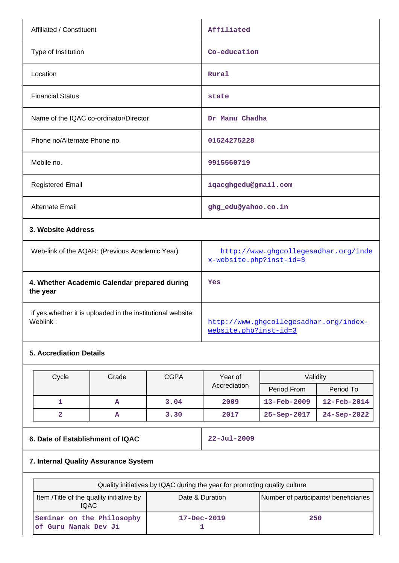| Affiliated / Constituent                                                 | Affiliated                                                      |
|--------------------------------------------------------------------------|-----------------------------------------------------------------|
| Type of Institution                                                      | Co-education                                                    |
| Location                                                                 | Rural                                                           |
| <b>Financial Status</b>                                                  | state                                                           |
| Name of the IQAC co-ordinator/Director                                   | Dr Manu Chadha                                                  |
| Phone no/Alternate Phone no.                                             | 01624275228                                                     |
| Mobile no.                                                               | 9915560719                                                      |
| <b>Registered Email</b>                                                  | iqacghgedu@gmail.com                                            |
| Alternate Email                                                          | ghg_edu@yahoo.co.in                                             |
| 3. Website Address                                                       |                                                                 |
| Web-link of the AQAR: (Previous Academic Year)                           | http://www.ghgcollegesadhar.org/inde<br>x-website.php?inst-id=3 |
| 4. Whether Academic Calendar prepared during<br>the year                 | Yes                                                             |
| if yes, whether it is uploaded in the institutional website:<br>Weblink: | http://www.ghgcollegesadhar.org/index-                          |

# **5. Accrediation Details**

| Cycle | Grade | <b>CGPA</b> | Year of      | Validity          |                          |
|-------|-------|-------------|--------------|-------------------|--------------------------|
|       |       |             | Accrediation | Period From       | Period To                |
|       | А     | 3.04        | 2009         | $13 - Feb - 2009$ | $12 - \text{Feb} - 2014$ |
|       | А     | 3.30        | 2017         | $25 - Sep - 2017$ | $24 - Sep-2022$          |

# **6. Date of Establishment of IQAC 22-Jul-2009**

[website.php?inst-id=3](http://www.ghgcollegesadhar.org/index-website.php?inst-id=3)

# **7. Internal Quality Assurance System**

| Quality initiatives by IQAC during the year for promoting quality culture |                   |                                       |
|---------------------------------------------------------------------------|-------------------|---------------------------------------|
| Item /Title of the quality initiative by<br><b>IQAC</b>                   | Date & Duration   | Number of participants/ beneficiaries |
| Seminar on the Philosophy<br>of Guru Nanak Dev Ji                         | $17 - Dec - 2019$ | 250                                   |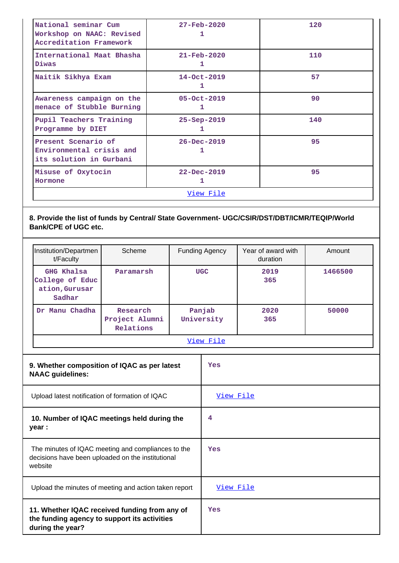| National seminar Cum<br>Workshop on NAAC: Revised<br>Accreditation Framework | $27 - \text{Feb} - 2020$ | 120 |
|------------------------------------------------------------------------------|--------------------------|-----|
| International Maat Bhasha<br>Diwas                                           | $21 - \text{Feb} - 2020$ | 110 |
| Naitik Sikhya Exam                                                           | $14 - Oct - 2019$<br>ı   | 57  |
| Awareness campaign on the<br>menace of Stubble Burning                       | $05 - Oct - 2019$<br>٦.  | 90  |
| Pupil Teachers Training<br>Programme by DIET                                 | $25 - Sep - 2019$        | 140 |
| Present Scenario of<br>Environmental crisis and<br>its solution in Gurbani   | $26 - Dec - 2019$        | 95  |
| Misuse of Oxytocin<br>Hormone                                                | $22 - Dec - 2019$        | 95  |
|                                                                              | View File                |     |

# **8. Provide the list of funds by Central/ State Government- UGC/CSIR/DST/DBT/ICMR/TEQIP/World Bank/CPE of UGC etc.**

| Institution/Departmen<br>t/Faculty                        | Scheme                                  | <b>Funding Agency</b> | Year of award with<br>duration | Amount  |
|-----------------------------------------------------------|-----------------------------------------|-----------------------|--------------------------------|---------|
| GHG Khalsa<br>College of Educ<br>ation, Gurusar<br>Sadhar | Paramarsh                               | <b>UGC</b>            | 2019<br>365                    | 1466500 |
| Manu Chadha<br>Dr.                                        | Research<br>Project Alumni<br>Relations | Panjab<br>University  | 2020<br>365                    | 50000   |
|                                                           |                                         | View File             |                                |         |

| ≏ |  |
|---|--|
|   |  |

| 9. Whether composition of IQAC as per latest<br><b>NAAC</b> guidelines:                                            | Yes              |
|--------------------------------------------------------------------------------------------------------------------|------------------|
| Upload latest notification of formation of IQAC                                                                    | <u>View File</u> |
| 10. Number of IQAC meetings held during the<br>year :                                                              | 4                |
| The minutes of IQAC meeting and compliances to the<br>decisions have been uploaded on the institutional<br>website | Yes              |
| Upload the minutes of meeting and action taken report                                                              | View File        |
| 11. Whether IQAC received funding from any of<br>the funding agency to support its activities<br>during the year?  | Yes              |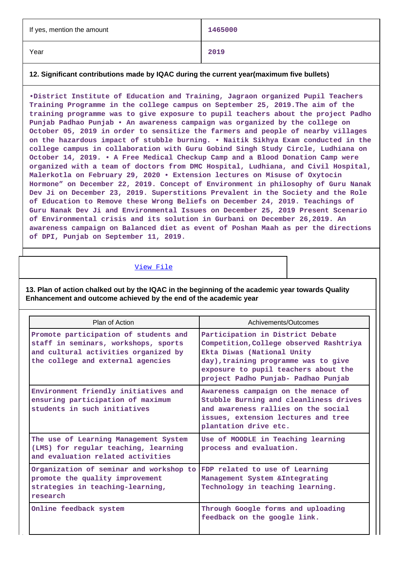| If yes, mention the amount | 1465000 |
|----------------------------|---------|
| Year                       | 2019    |

### **12. Significant contributions made by IQAC during the current year(maximum five bullets)**

**•District Institute of Education and Training, Jagraon organized Pupil Teachers Training Programme in the college campus on September 25, 2019.The aim of the training programme was to give exposure to pupil teachers about the project Padho Punjab Padhao Punjab • An awareness campaign was organized by the college on October 05, 2019 in order to sensitize the farmers and people of nearby villages on the hazardous impact of stubble burning. • Naitik Sikhya Exam conducted in the college campus in collaboration with Guru Gobind Singh Study Circle, Ludhiana on October 14, 2019. • A Free Medical Checkup Camp and a Blood Donation Camp were organized with a team of doctors from DMC Hospital, Ludhiana, and Civil Hospital, Malerkotla on February 29, 2020 • Extension lectures on Misuse of Oxytocin Hormone" on December 22, 2019. Concept of Environment in philosophy of Guru Nanak Dev Ji on December 23, 2019. Superstitions Prevalent in the Society and the Role of Education to Remove these Wrong Beliefs on December 24, 2019. Teachings of Guru Nanak Dev Ji and Environmental Issues on December 25, 2019 Present Scenario of Environmental crisis and its solution in Gurbani on December 26,2019. An awareness campaign on Balanced diet as event of Poshan Maah as per the directions of DPI, Punjab on September 11, 2019.**

### [View File](https://assessmentonline.naac.gov.in/public/Postacc/Contribution/7162_Contribution.xlsx)

**13. Plan of action chalked out by the IQAC in the beginning of the academic year towards Quality Enhancement and outcome achieved by the end of the academic year**

| Plan of Action                                                                                                                                             | Achivements/Outcomes                                                                                                                                                                                                             |
|------------------------------------------------------------------------------------------------------------------------------------------------------------|----------------------------------------------------------------------------------------------------------------------------------------------------------------------------------------------------------------------------------|
| Promote participation of students and<br>staff in seminars, workshops, sports<br>and cultural activities organized by<br>the college and external agencies | Participation in District Debate<br>Competition, College observed Rashtriya<br>Ekta Diwas (National Unity<br>day), training programme was to give<br>exposure to pupil teachers about the<br>project Padho Punjab- Padhao Punjab |
| Environment friendly initiatives and<br>ensuring participation of maximum<br>students in such initiatives                                                  | Awareness campaign on the menace of<br>Stubble Burning and cleanliness drives<br>and awareness rallies on the social<br>issues, extension lectures and tree<br>plantation drive etc.                                             |
| The use of Learning Management System<br>(LMS) for regular teaching, learning<br>and evaluation related activities                                         | Use of MOODLE in Teaching learning<br>process and evaluation.                                                                                                                                                                    |
| Organization of seminar and workshop to<br>promote the quality improvement<br>strategies in teaching-learning,<br>research                                 | FDP related to use of Learning<br>Management System & Integrating<br>Technology in teaching learning.                                                                                                                            |
| Online feedback system                                                                                                                                     | Through Google forms and uploading<br>feedback on the google link.                                                                                                                                                               |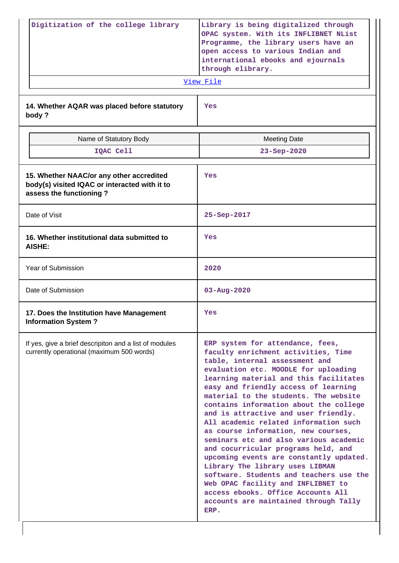| Digitization of the college library                                                                                  | Library is being digitalized through<br>OPAC system. With its INFLIBNET NList<br>Programme, the library users have an<br>open access to various Indian and<br>international ebooks and ejournals<br>through elibrary.<br>View File                                                                                                                                                                                                                                                                                                                                                                                                                                                                                                                                                    |
|----------------------------------------------------------------------------------------------------------------------|---------------------------------------------------------------------------------------------------------------------------------------------------------------------------------------------------------------------------------------------------------------------------------------------------------------------------------------------------------------------------------------------------------------------------------------------------------------------------------------------------------------------------------------------------------------------------------------------------------------------------------------------------------------------------------------------------------------------------------------------------------------------------------------|
| 14. Whether AQAR was placed before statutory<br>body?                                                                | Yes                                                                                                                                                                                                                                                                                                                                                                                                                                                                                                                                                                                                                                                                                                                                                                                   |
| Name of Statutory Body                                                                                               | <b>Meeting Date</b>                                                                                                                                                                                                                                                                                                                                                                                                                                                                                                                                                                                                                                                                                                                                                                   |
| IQAC Cell                                                                                                            | 23-Sep-2020                                                                                                                                                                                                                                                                                                                                                                                                                                                                                                                                                                                                                                                                                                                                                                           |
| 15. Whether NAAC/or any other accredited<br>body(s) visited IQAC or interacted with it to<br>assess the functioning? | Yes                                                                                                                                                                                                                                                                                                                                                                                                                                                                                                                                                                                                                                                                                                                                                                                   |
| Date of Visit                                                                                                        | 25-Sep-2017                                                                                                                                                                                                                                                                                                                                                                                                                                                                                                                                                                                                                                                                                                                                                                           |
| 16. Whether institutional data submitted to<br><b>AISHE:</b>                                                         | Yes                                                                                                                                                                                                                                                                                                                                                                                                                                                                                                                                                                                                                                                                                                                                                                                   |
| <b>Year of Submission</b>                                                                                            | 2020                                                                                                                                                                                                                                                                                                                                                                                                                                                                                                                                                                                                                                                                                                                                                                                  |
| Date of Submission                                                                                                   | $03 - Aug - 2020$                                                                                                                                                                                                                                                                                                                                                                                                                                                                                                                                                                                                                                                                                                                                                                     |
| 17. Does the Institution have Management<br><b>Information System?</b>                                               | Yes                                                                                                                                                                                                                                                                                                                                                                                                                                                                                                                                                                                                                                                                                                                                                                                   |
| If yes, give a brief descripiton and a list of modules<br>currently operational (maximum 500 words)                  | ERP system for attendance, fees,<br>faculty enrichment activities, Time<br>table, internal assessment and<br>evaluation etc. MOODLE for uploading<br>learning material and this facilitates<br>easy and friendly access of learning<br>material to the students. The website<br>contains information about the college<br>and is attractive and user friendly.<br>All academic related information such<br>as course information, new courses,<br>seminars etc and also various academic<br>and cocurricular programs held, and<br>upcoming events are constantly updated.<br>Library The library uses LIBMAN<br>software. Students and teachers use the<br>Web OPAC facility and INFLIBNET to<br>access ebooks. Office Accounts All<br>accounts are maintained through Tally<br>ERP. |

 $\overline{\phantom{a}}$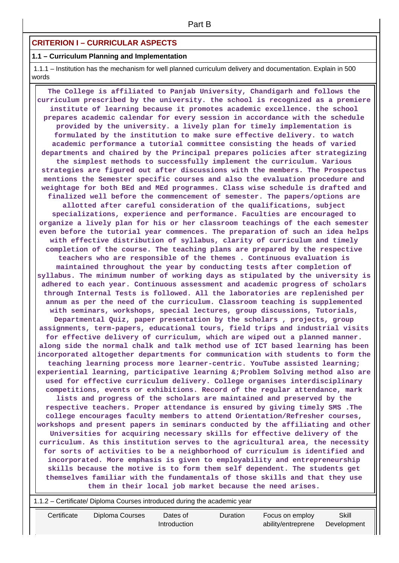## **CRITERION I – CURRICULAR ASPECTS**

### **1.1 – Curriculum Planning and Implementation**

 1.1.1 – Institution has the mechanism for well planned curriculum delivery and documentation. Explain in 500 words

 **The College is affiliated to Panjab University, Chandigarh and follows the curriculum prescribed by the university. the school is recognized as a premiere institute of learning because it promotes academic excellence. the school prepares academic calendar for every session in accordance with the schedule provided by the university. a lively plan for timely implementation is formulated by the institution to make sure effective delivery. to watch academic performance a tutorial committee consisting the heads of varied departments and chaired by the Principal prepares policies after strategizing the simplest methods to successfully implement the curriculum. Various strategies are figured out after discussions with the members. The Prospectus mentions the Semester specific courses and also the evaluation procedure and weightage for both BEd and MEd programmes. Class wise schedule is drafted and finalized well before the commencement of semester. The papers/options are allotted after careful consideration of the qualifications, subject specializations, experience and performance. Faculties are encouraged to organize a lively plan for his or her classroom teachings of the each semester even before the tutorial year commences. The preparation of such an idea helps with effective distribution of syllabus, clarity of curriculum and timely completion of the course. The teaching plans are prepared by the respective teachers who are responsible of the themes . Continuous evaluation is maintained throughout the year by conducting tests after completion of syllabus. The minimum number of working days as stipulated by the university is adhered to each year. Continuous assessment and academic progress of scholars through Internal Tests is followed. All the laboratories are replenished per annum as per the need of the curriculum. Classroom teaching is supplemented with seminars, workshops, special lectures, group discussions, Tutorials, Departmental Quiz, paper presentation by the scholars , projects, group assignments, term-papers, educational tours, field trips and industrial visits for effective delivery of curriculum, which are wiped out a planned manner. along side the normal chalk and talk method use of ICT based learning has been incorporated altogether departments for communication with students to form the teaching learning process more learner-centric. YouTube assisted learning; experiential learning, participative learning &;Problem Solving method also are used for effective curriculum delivery. College organises interdisciplinary competitions, events or exhibitions. Record of the regular attendance, mark lists and progress of the scholars are maintained and preserved by the respective teachers. Proper attendance is ensured by giving timely SMS .The college encourages faculty members to attend Orientation/Refresher courses, workshops and present papers in seminars conducted by the affiliating and other Universities for acquiring necessary skills for effective delivery of the curriculum. As this institution serves to the agricultural area, the necessity for sorts of activities to be a neighborhood of curriculum is identified and incorporated. More emphasis is given to employability and entrepreneurship skills because the motive is to form them self dependent. The students get themselves familiar with the fundamentals of those skills and that they use them in their local job market because the need arises.**

1.1.2 – Certificate/ Diploma Courses introduced during the academic year

| Certificate |  |
|-------------|--|
|             |  |

Duration Focus on employ ability/entreprene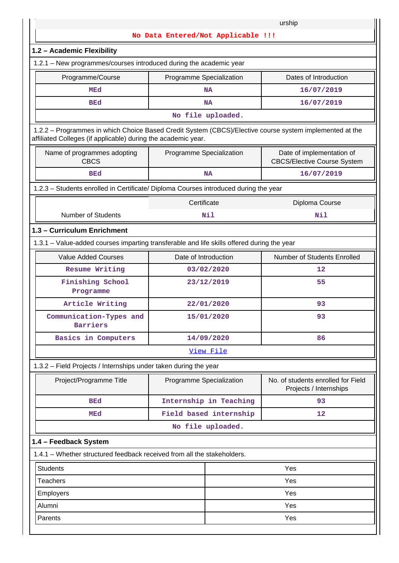|                                                                                                                                                                          |                          |                        | urship                                                          |  |  |  |  |  |  |
|--------------------------------------------------------------------------------------------------------------------------------------------------------------------------|--------------------------|------------------------|-----------------------------------------------------------------|--|--|--|--|--|--|
| No Data Entered/Not Applicable !!!                                                                                                                                       |                          |                        |                                                                 |  |  |  |  |  |  |
| 1.2 - Academic Flexibility                                                                                                                                               |                          |                        |                                                                 |  |  |  |  |  |  |
| 1.2.1 – New programmes/courses introduced during the academic year                                                                                                       |                          |                        |                                                                 |  |  |  |  |  |  |
| Programme/Course                                                                                                                                                         | Programme Specialization |                        | Dates of Introduction                                           |  |  |  |  |  |  |
| <b>MEd</b>                                                                                                                                                               |                          | <b>NA</b>              | 16/07/2019                                                      |  |  |  |  |  |  |
| <b>BEd</b>                                                                                                                                                               |                          | <b>NA</b>              | 16/07/2019                                                      |  |  |  |  |  |  |
|                                                                                                                                                                          |                          | No file uploaded.      |                                                                 |  |  |  |  |  |  |
| 1.2.2 - Programmes in which Choice Based Credit System (CBCS)/Elective course system implemented at the<br>affiliated Colleges (if applicable) during the academic year. |                          |                        |                                                                 |  |  |  |  |  |  |
| Name of programmes adopting<br><b>CBCS</b>                                                                                                                               | Programme Specialization |                        | Date of implementation of<br><b>CBCS/Elective Course System</b> |  |  |  |  |  |  |
| <b>BEd</b>                                                                                                                                                               | <b>NA</b>                | 16/07/2019             |                                                                 |  |  |  |  |  |  |
| 1.2.3 - Students enrolled in Certificate/ Diploma Courses introduced during the year                                                                                     |                          |                        |                                                                 |  |  |  |  |  |  |
|                                                                                                                                                                          | Certificate              |                        | Diploma Course                                                  |  |  |  |  |  |  |
| <b>Number of Students</b>                                                                                                                                                |                          | Nil                    | Nil                                                             |  |  |  |  |  |  |
| 1.3 - Curriculum Enrichment                                                                                                                                              |                          |                        |                                                                 |  |  |  |  |  |  |
| 1.3.1 – Value-added courses imparting transferable and life skills offered during the year                                                                               |                          |                        |                                                                 |  |  |  |  |  |  |
| <b>Value Added Courses</b><br>Date of Introduction<br>Number of Students Enrolled                                                                                        |                          |                        |                                                                 |  |  |  |  |  |  |
| Resume Writing                                                                                                                                                           |                          | 03/02/2020             | 12                                                              |  |  |  |  |  |  |
| Finishing School<br>Programme                                                                                                                                            |                          | 23/12/2019             | 55                                                              |  |  |  |  |  |  |
| Article Writing                                                                                                                                                          |                          | 22/01/2020             | 93                                                              |  |  |  |  |  |  |
| Communication-Types and<br><b>Barriers</b>                                                                                                                               |                          | 15/01/2020             | 93                                                              |  |  |  |  |  |  |
| Basics in Computers                                                                                                                                                      |                          | 14/09/2020             | 86                                                              |  |  |  |  |  |  |
|                                                                                                                                                                          |                          | View File              |                                                                 |  |  |  |  |  |  |
| 1.3.2 - Field Projects / Internships under taken during the year                                                                                                         |                          |                        |                                                                 |  |  |  |  |  |  |
| Project/Programme Title                                                                                                                                                  | Programme Specialization |                        | No. of students enrolled for Field<br>Projects / Internships    |  |  |  |  |  |  |
| <b>BEd</b>                                                                                                                                                               |                          | Internship in Teaching | 93                                                              |  |  |  |  |  |  |
| <b>MEd</b>                                                                                                                                                               |                          | Field based internship | 12                                                              |  |  |  |  |  |  |
|                                                                                                                                                                          |                          | No file uploaded.      |                                                                 |  |  |  |  |  |  |
| 1.4 - Feedback System                                                                                                                                                    |                          |                        |                                                                 |  |  |  |  |  |  |
| 1.4.1 - Whether structured feedback received from all the stakeholders.                                                                                                  |                          |                        |                                                                 |  |  |  |  |  |  |
| <b>Students</b>                                                                                                                                                          |                          |                        | Yes                                                             |  |  |  |  |  |  |
| <b>Teachers</b>                                                                                                                                                          |                          | Yes                    |                                                                 |  |  |  |  |  |  |
| Employers                                                                                                                                                                |                          | Yes                    |                                                                 |  |  |  |  |  |  |
| Alumni<br>Yes                                                                                                                                                            |                          |                        |                                                                 |  |  |  |  |  |  |
| Yes<br>Parents                                                                                                                                                           |                          |                        |                                                                 |  |  |  |  |  |  |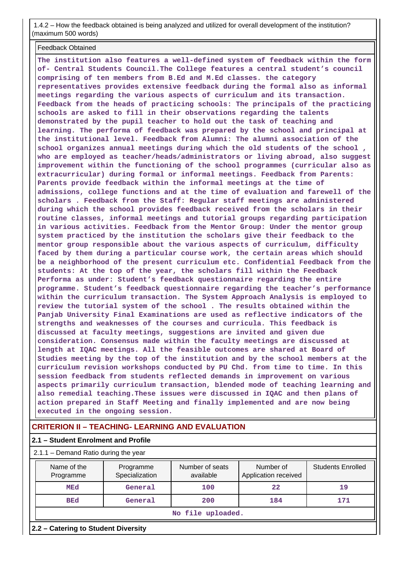1.4.2 – How the feedback obtained is being analyzed and utilized for overall development of the institution? (maximum 500 words)

Feedback Obtained

**The institution also features a well-defined system of feedback within the form of- Central Students Council.The College features a central student's council comprising of ten members from B.Ed and M.Ed classes. the category representatives provides extensive feedback during the formal also as informal meetings regarding the various aspects of curriculum and its transaction. Feedback from the heads of practicing schools: The principals of the practicing schools are asked to fill in their observations regarding the talents demonstrated by the pupil teacher to hold out the task of teaching and learning. The performa of feedback was prepared by the school and principal at the institutional level. Feedback from Alumni: The alumni association of the school organizes annual meetings during which the old students of the school , who are employed as teacher/heads/administrators or living abroad, also suggest improvement within the functioning of the school programmes (curricular also as extracurricular) during formal or informal meetings. Feedback from Parents: Parents provide feedback within the informal meetings at the time of admissions, college functions and at the time of evaluation and farewell of the scholars . Feedback from the Staff: Regular staff meetings are administered during which the school provides feedback received from the scholars in their routine classes, informal meetings and tutorial groups regarding participation in various activities. Feedback from the Mentor Group: Under the mentor group system practiced by the institution the scholars give their feedback to the mentor group responsible about the various aspects of curriculum, difficulty faced by them during a particular course work, the certain areas which should be a neighborhood of the present curriculum etc. Confidential Feedback from the students: At the top of the year, the scholars fill within the Feedback Performa as under: Student's feedback questionnaire regarding the entire programme. Student's feedback questionnaire regarding the teacher's performance within the curriculum transaction. The System Approach Analysis is employed to review the tutorial system of the school . The results obtained within the Panjab University Final Examinations are used as reflective indicators of the strengths and weaknesses of the courses and curricula. This feedback is discussed at faculty meetings, suggestions are invited and given due consideration. Consensus made within the faculty meetings are discussed at length at IQAC meetings. All the feasible outcomes are shared at Board of Studies meeting by the top of the institution and by the school members at the curriculum revision workshops conducted by PU Chd. from time to time. In this session feedback from students reflected demands in improvement on various aspects primarily curriculum transaction, blended mode of teaching learning and also remedial teaching.These issues were discussed in IQAC and then plans of action prepared in Staff Meeting and finally implemented and are now being executed in the ongoing session.**

## **CRITERION II – TEACHING- LEARNING AND EVALUATION**

### **2.1 – Student Enrolment and Profile**

2.1.1 – Demand Ratio during the year

|  | Name of the<br>Programme<br>Specialization<br>Programme<br>MEd<br>General |         | Number of seats<br>available | Number of<br>Application received | <b>Students Enrolled</b> |  |  |  |
|--|---------------------------------------------------------------------------|---------|------------------------------|-----------------------------------|--------------------------|--|--|--|
|  |                                                                           |         | 100                          | 22                                | 19                       |  |  |  |
|  | <b>BEd</b>                                                                | General | 200                          | 184                               | 171                      |  |  |  |
|  | No file uploaded.                                                         |         |                              |                                   |                          |  |  |  |
|  | 2.2 - Catering to Student Diversity                                       |         |                              |                                   |                          |  |  |  |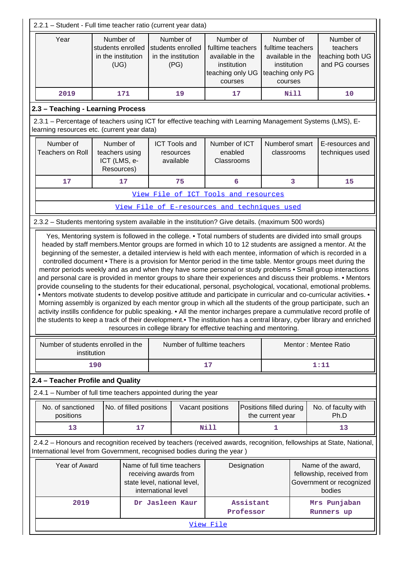| 2.2.1 - Student - Full time teacher ratio (current year data)                                                                                             |                                                                                                                                                       |                         |                     |                                                                                     |                                                                                                  |                                    |                                                                                                  |             |                                                                                                                                                                                                                                                                                                                                                                                                                                                                                                                                                                                                                                                                                                                                   |
|-----------------------------------------------------------------------------------------------------------------------------------------------------------|-------------------------------------------------------------------------------------------------------------------------------------------------------|-------------------------|---------------------|-------------------------------------------------------------------------------------|--------------------------------------------------------------------------------------------------|------------------------------------|--------------------------------------------------------------------------------------------------|-------------|-----------------------------------------------------------------------------------------------------------------------------------------------------------------------------------------------------------------------------------------------------------------------------------------------------------------------------------------------------------------------------------------------------------------------------------------------------------------------------------------------------------------------------------------------------------------------------------------------------------------------------------------------------------------------------------------------------------------------------------|
| Year                                                                                                                                                      | Number of<br>students enrolled<br>in the institution<br>(UG)                                                                                          |                         |                     | Number of<br>students enrolled<br>in the institution<br>(PG)                        | Number of<br>fulltime teachers<br>available in the<br>institution<br>teaching only UG<br>courses |                                    | Number of<br>fulltime teachers<br>available in the<br>institution<br>teaching only PG<br>courses |             | Number of<br>teachers<br>teaching both UG<br>and PG courses                                                                                                                                                                                                                                                                                                                                                                                                                                                                                                                                                                                                                                                                       |
| 2019                                                                                                                                                      |                                                                                                                                                       | 171                     |                     | 19                                                                                  | 17                                                                                               |                                    |                                                                                                  | <b>Nill</b> | 10                                                                                                                                                                                                                                                                                                                                                                                                                                                                                                                                                                                                                                                                                                                                |
| 2.3 - Teaching - Learning Process                                                                                                                         |                                                                                                                                                       |                         |                     |                                                                                     |                                                                                                  |                                    |                                                                                                  |             |                                                                                                                                                                                                                                                                                                                                                                                                                                                                                                                                                                                                                                                                                                                                   |
| 2.3.1 - Percentage of teachers using ICT for effective teaching with Learning Management Systems (LMS), E-<br>learning resources etc. (current year data) |                                                                                                                                                       |                         |                     |                                                                                     |                                                                                                  |                                    |                                                                                                  |             |                                                                                                                                                                                                                                                                                                                                                                                                                                                                                                                                                                                                                                                                                                                                   |
| Number of<br><b>Teachers on Roll</b>                                                                                                                      | Number of<br>Number of ICT<br><b>ICT Tools and</b><br>teachers using<br>enabled<br>resources<br>ICT (LMS, e-<br>Classrooms<br>available<br>Resources) |                         |                     | Numberof smart<br>classrooms                                                        |                                                                                                  | E-resources and<br>techniques used |                                                                                                  |             |                                                                                                                                                                                                                                                                                                                                                                                                                                                                                                                                                                                                                                                                                                                                   |
| 17                                                                                                                                                        |                                                                                                                                                       | 17                      |                     | 75                                                                                  | 6                                                                                                |                                    |                                                                                                  | 3           | 15                                                                                                                                                                                                                                                                                                                                                                                                                                                                                                                                                                                                                                                                                                                                |
|                                                                                                                                                           |                                                                                                                                                       |                         |                     | View File of ICT Tools and resources                                                |                                                                                                  |                                    |                                                                                                  |             |                                                                                                                                                                                                                                                                                                                                                                                                                                                                                                                                                                                                                                                                                                                                   |
|                                                                                                                                                           |                                                                                                                                                       |                         |                     | View File of E-resources and techniques used                                        |                                                                                                  |                                    |                                                                                                  |             |                                                                                                                                                                                                                                                                                                                                                                                                                                                                                                                                                                                                                                                                                                                                   |
| 2.3.2 - Students mentoring system available in the institution? Give details. (maximum 500 words)                                                         |                                                                                                                                                       |                         |                     |                                                                                     |                                                                                                  |                                    |                                                                                                  |             |                                                                                                                                                                                                                                                                                                                                                                                                                                                                                                                                                                                                                                                                                                                                   |
|                                                                                                                                                           |                                                                                                                                                       |                         |                     | resources in college library for effective teaching and mentoring.                  |                                                                                                  |                                    |                                                                                                  |             | and personal care is provided in mentor groups to share their experiences and discuss their problems. • Mentors<br>provide counseling to the students for their educational, personal, psychological, vocational, emotional problems.<br>• Mentors motivate students to develop positive attitude and participate in curricular and co-curricular activities. •<br>Morning assembly is organized by each mentor group in which all the students of the group participate, such an<br>activity instills confidence for public speaking. • All the mentor incharges prepare a cummulative record profile of<br>the students to keep a track of their development. The institution has a central library, cyber library and enriched |
| Number of students enrolled in the<br>institution                                                                                                         |                                                                                                                                                       |                         |                     | Number of fulltime teachers                                                         |                                                                                                  |                                    |                                                                                                  |             | Mentor: Mentee Ratio                                                                                                                                                                                                                                                                                                                                                                                                                                                                                                                                                                                                                                                                                                              |
|                                                                                                                                                           | 190                                                                                                                                                   |                         |                     |                                                                                     | 17                                                                                               |                                    |                                                                                                  |             | 1:11                                                                                                                                                                                                                                                                                                                                                                                                                                                                                                                                                                                                                                                                                                                              |
| 2.4 - Teacher Profile and Quality                                                                                                                         |                                                                                                                                                       |                         |                     |                                                                                     |                                                                                                  |                                    |                                                                                                  |             |                                                                                                                                                                                                                                                                                                                                                                                                                                                                                                                                                                                                                                                                                                                                   |
| 2.4.1 – Number of full time teachers appointed during the year                                                                                            |                                                                                                                                                       |                         |                     |                                                                                     |                                                                                                  |                                    |                                                                                                  |             |                                                                                                                                                                                                                                                                                                                                                                                                                                                                                                                                                                                                                                                                                                                                   |
| No. of sanctioned<br>positions                                                                                                                            |                                                                                                                                                       | No. of filled positions |                     | Vacant positions                                                                    |                                                                                                  |                                    | Positions filled during<br>the current year                                                      |             | No. of faculty with<br>Ph.D                                                                                                                                                                                                                                                                                                                                                                                                                                                                                                                                                                                                                                                                                                       |
| 13                                                                                                                                                        |                                                                                                                                                       | 17                      |                     |                                                                                     | Nill                                                                                             |                                    | 1                                                                                                |             | 13                                                                                                                                                                                                                                                                                                                                                                                                                                                                                                                                                                                                                                                                                                                                |
| International level from Government, recognised bodies during the year)                                                                                   |                                                                                                                                                       |                         |                     |                                                                                     |                                                                                                  |                                    |                                                                                                  |             | 2.4.2 - Honours and recognition received by teachers (received awards, recognition, fellowships at State, National,                                                                                                                                                                                                                                                                                                                                                                                                                                                                                                                                                                                                               |
| Year of Award                                                                                                                                             |                                                                                                                                                       |                         | international level | Name of full time teachers<br>receiving awards from<br>state level, national level, |                                                                                                  | Designation                        |                                                                                                  |             | Name of the award,<br>fellowship, received from<br>Government or recognized<br>bodies                                                                                                                                                                                                                                                                                                                                                                                                                                                                                                                                                                                                                                             |
| 2019                                                                                                                                                      |                                                                                                                                                       |                         |                     | Dr Jasleen Kaur                                                                     |                                                                                                  | Assistant<br>Professor             |                                                                                                  |             | Mrs Punjaban<br>Runners up                                                                                                                                                                                                                                                                                                                                                                                                                                                                                                                                                                                                                                                                                                        |
| View File                                                                                                                                                 |                                                                                                                                                       |                         |                     |                                                                                     |                                                                                                  |                                    |                                                                                                  |             |                                                                                                                                                                                                                                                                                                                                                                                                                                                                                                                                                                                                                                                                                                                                   |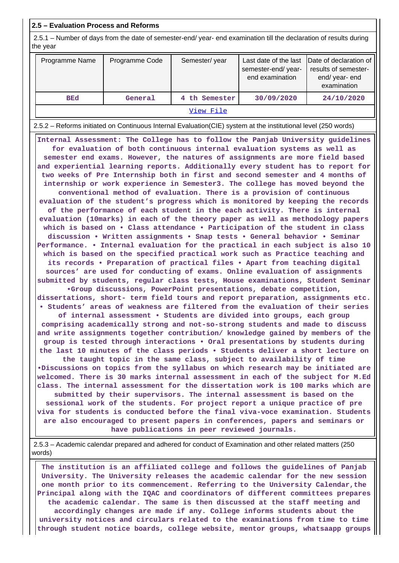### **2.5 – Evaluation Process and Reforms**

 2.5.1 – Number of days from the date of semester-end/ year- end examination till the declaration of results during the year

| Programme Name | Programme Code | Semester/year | Last date of the last<br>semester-end/year-<br>end examination | Date of declaration of<br>results of semester-<br>end/year-end<br>examination |  |  |  |  |
|----------------|----------------|---------------|----------------------------------------------------------------|-------------------------------------------------------------------------------|--|--|--|--|
| <b>BEd</b>     | General        | 4 th Semester | 30/09/2020                                                     | 24/10/2020                                                                    |  |  |  |  |
| View File      |                |               |                                                                |                                                                               |  |  |  |  |

2.5.2 – Reforms initiated on Continuous Internal Evaluation(CIE) system at the institutional level (250 words)

 **Internal Assessment: The College has to follow the Panjab University guidelines for evaluation of both continuous internal evaluation systems as well as semester end exams. However, the natures of assignments are more field based and experiential learning reports. Additionally every student has to report for two weeks of Pre Internship both in first and second semester and 4 months of internship or work experience in Semester3. The college has moved beyond the conventional method of evaluation. There is a provision of continuous evaluation of the student's progress which is monitored by keeping the records of the performance of each student in the each activity. There is internal evaluation (10marks) in each of the theory paper as well as methodology papers which is based on • Class attendance • Participation of the student in class discussion • Written assignments • Snap tests • General behavior • Seminar Performance. • Internal evaluation for the practical in each subject is also 10 which is based on the specified practical work such as Practice teaching and its records • Preparation of practical files • Apart from teaching digital sources' are used for conducting of exams. Online evaluation of assignments submitted by students, regular class tests, House examinations, Student Seminar •Group discussions, PowerPoint presentations, debate competition, dissertations, short- term field tours and report preparation, assignments etc. • Students' areas of weakness are filtered from the evaluation of their series of internal assessment • Students are divided into groups, each group comprising academically strong and not-so-strong students and made to discuss and write assignments together contribution/ knowledge gained by members of the**

**group is tested through interactions • Oral presentations by students during the last 10 minutes of the class periods • Students deliver a short lecture on the taught topic in the same class, subject to availability of time •Discussions on topics from the syllabus on which research may be initiated are welcomed. There is 30 marks internal assessment in each of the subject for M.Ed class. The internal assessment for the dissertation work is 100 marks which are submitted by their supervisors. The internal assessment is based on the**

**sessional work of the students. For project report a unique practice of pre viva for students is conducted before the final viva-voce examination. Students are also encouraged to present papers in conferences, papers and seminars or have publications in peer reviewed journals.**

 2.5.3 – Academic calendar prepared and adhered for conduct of Examination and other related matters (250 words)

 **The institution is an affiliated college and follows the guidelines of Panjab University. The University releases the academic calendar for the new session one month prior to its commencement. Referring to the University Calendar,the Principal along with the IQAC and coordinators of different committees prepares the academic calendar. The same is then discussed at the staff meeting and accordingly changes are made if any. College informs students about the university notices and circulars related to the examinations from time to time through student notice boards, college website, mentor groups, whatsaapp groups**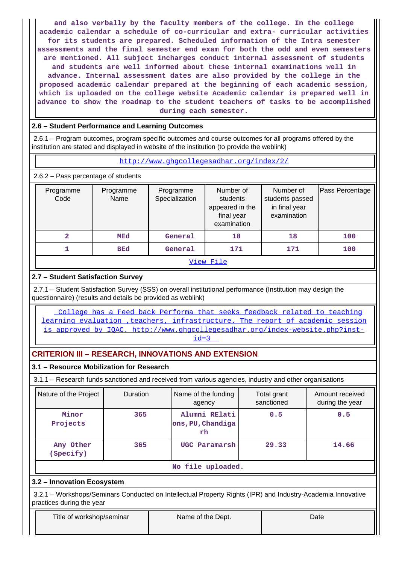**and also verbally by the faculty members of the college. In the college academic calendar a schedule of co-curricular and extra- curricular activities for its students are prepared. Scheduled information of the Intra semester assessments and the final semester end exam for both the odd and even semesters are mentioned. All subject incharges conduct internal assessment of students and students are well informed about these internal examinations well in advance. Internal assessment dates are also provided by the college in the proposed academic calendar prepared at the beginning of each academic session, which is uploaded on the college website Academic calendar is prepared well in advance to show the roadmap to the student teachers of tasks to be accomplished during each semester.**

### **2.6 – Student Performance and Learning Outcomes**

 2.6.1 – Program outcomes, program specific outcomes and course outcomes for all programs offered by the institution are stated and displayed in website of the institution (to provide the weblink)

### <http://www.ghgcollegesadhar.org/index/2/>

2.6.2 – Pass percentage of students

| Programme<br>Code | Programme<br>Name | Programme<br>Specialization | Number of<br>students<br>appeared in the<br>final year<br>examination | Number of<br>students passed<br>in final year<br>examination | Pass Percentage |  |  |  |  |
|-------------------|-------------------|-----------------------------|-----------------------------------------------------------------------|--------------------------------------------------------------|-----------------|--|--|--|--|
| 2                 | MEd               | General                     | 18                                                                    | 18                                                           | 100             |  |  |  |  |
|                   | <b>BEd</b>        |                             | 171                                                                   | 171                                                          | 100             |  |  |  |  |
| View File         |                   |                             |                                                                       |                                                              |                 |  |  |  |  |

# **2.7 – Student Satisfaction Survey**

 2.7.1 – Student Satisfaction Survey (SSS) on overall institutional performance (Institution may design the questionnaire) (results and details be provided as weblink)

 [College has a Feed back Performa that seeks feedback related to teaching](College has a Feed back Performa that seeks feedback related to teaching learning evaluation ,teachers, infrastructure. The report of academic session is approved by IQAC. http://www.ghgcollegesadhar.org/index-website.php?inst-id=3) [learning evaluation ,teachers, infrastructure. The report of academic session](College has a Feed back Performa that seeks feedback related to teaching learning evaluation ,teachers, infrastructure. The report of academic session is approved by IQAC. http://www.ghgcollegesadhar.org/index-website.php?inst-id=3) is approved by IOAC. http://www.ghgcollegesadhar.org/index-website.php?inst $id=3$ 

# **CRITERION III – RESEARCH, INNOVATIONS AND EXTENSION**

### **3.1 – Resource Mobilization for Research**

3.1.1 – Research funds sanctioned and received from various agencies, industry and other organisations

| Nature of the Project  | <b>Duration</b> | Name of the funding<br>agency            | Total grant<br>sanctioned | Amount received<br>during the year |  |
|------------------------|-----------------|------------------------------------------|---------------------------|------------------------------------|--|
| Minor<br>Projects      | 365             | Alumni RElati<br>ons, PU, Chandiga<br>rh | 0.5                       | 0.5                                |  |
| Any Other<br>(Specify) | 365             | UGC Paramarsh                            | 29.33                     | 14.66                              |  |
|                        |                 | No file uploaded.                        |                           |                                    |  |

### **3.2 – Innovation Ecosystem**

 3.2.1 – Workshops/Seminars Conducted on Intellectual Property Rights (IPR) and Industry-Academia Innovative practices during the year

| Title of workshop/seminar | Name of the Dept. | Date |
|---------------------------|-------------------|------|
|                           |                   |      |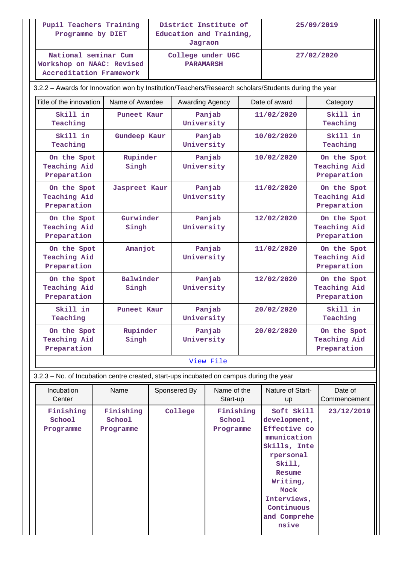| Pupil Teachers Training<br>Programme by DIET                                                         |                                  |              | Jagraon              | District Institute of<br>Education and Training, |                                                                                                                                                                                      | 25/09/2019             |  |                                                   |  |
|------------------------------------------------------------------------------------------------------|----------------------------------|--------------|----------------------|--------------------------------------------------|--------------------------------------------------------------------------------------------------------------------------------------------------------------------------------------|------------------------|--|---------------------------------------------------|--|
| National seminar Cum<br>Workshop on NAAC: Revised<br><b>Accreditation Framework</b>                  |                                  |              | <b>PARAMARSH</b>     | College under UGC                                |                                                                                                                                                                                      |                        |  | 27/02/2020                                        |  |
| 3.2.2 - Awards for Innovation won by Institution/Teachers/Research scholars/Students during the year |                                  |              |                      |                                                  |                                                                                                                                                                                      |                        |  |                                                   |  |
| Title of the innovation                                                                              | Name of Awardee                  |              |                      | Awarding Agency                                  |                                                                                                                                                                                      |                        |  | Category                                          |  |
| Skill in<br>Teaching                                                                                 | Puneet Kaur                      |              | University           | Panjab                                           |                                                                                                                                                                                      | 11/02/2020             |  | Skill in<br>Teaching                              |  |
| Skill in<br>Teaching                                                                                 |                                  | Gundeep Kaur |                      | Panjab<br>University                             |                                                                                                                                                                                      | 10/02/2020             |  | Skill in<br>Teaching                              |  |
| On the Spot<br><b>Teaching Aid</b><br>Preparation                                                    | Rupinder<br>Singh                |              | University           | Panjab                                           |                                                                                                                                                                                      | 10/02/2020             |  | On the Spot<br><b>Teaching Aid</b><br>Preparation |  |
| On the Spot<br><b>Teaching Aid</b><br>Preparation                                                    | Jaspreet Kaur                    |              | University           | Panjab                                           |                                                                                                                                                                                      | 11/02/2020             |  | On the Spot<br>Teaching Aid<br>Preparation        |  |
| On the Spot<br><b>Teaching Aid</b><br>Preparation                                                    | Gurwinder<br>Singh               |              | University           | Panjab                                           |                                                                                                                                                                                      | 12/02/2020             |  | On the Spot<br><b>Teaching Aid</b><br>Preparation |  |
| On the Spot<br><b>Teaching Aid</b><br>Preparation                                                    | Amanjot                          |              | Panjab<br>University |                                                  |                                                                                                                                                                                      | 11/02/2020             |  | On the Spot<br><b>Teaching Aid</b><br>Preparation |  |
| On the Spot<br>Teaching Aid<br>Preparation                                                           | Singh                            | Balwinder    |                      | Panjab<br>University                             |                                                                                                                                                                                      | 12/02/2020             |  | On the Spot<br><b>Teaching Aid</b><br>Preparation |  |
| Skill in<br>Teaching                                                                                 | Puneet Kaur                      |              | University           | Panjab                                           |                                                                                                                                                                                      | 20/02/2020             |  | Skill in<br>Teaching                              |  |
| On the Spot<br><b>Teaching Aid</b><br>Preparation                                                    | Rupinder<br>Singh                |              | Panjab<br>University |                                                  | 20/02/2020                                                                                                                                                                           |                        |  | On the Spot<br><b>Teaching Aid</b><br>Preparation |  |
|                                                                                                      |                                  |              |                      | View File                                        |                                                                                                                                                                                      |                        |  |                                                   |  |
| 3.2.3 - No. of Incubation centre created, start-ups incubated on campus during the year              |                                  |              |                      |                                                  |                                                                                                                                                                                      |                        |  |                                                   |  |
| Incubation<br>Center                                                                                 | Name                             |              | Sponsered By         | Name of the<br>Start-up                          |                                                                                                                                                                                      | Nature of Start-<br>up |  | Date of<br>Commencement                           |  |
| Finishing<br>School<br>Programme                                                                     | Finishing<br>School<br>Programme |              | College              | Finishing<br>School<br>Programme                 | Soft Skill<br>development,<br>Effective co<br>mmunication<br>Skills, Inte<br>rpersonal<br>Skill,<br>Resume<br>Writing,<br>Mock<br>Interviews,<br>Continuous<br>and Comprehe<br>nsive |                        |  | 23/12/2019                                        |  |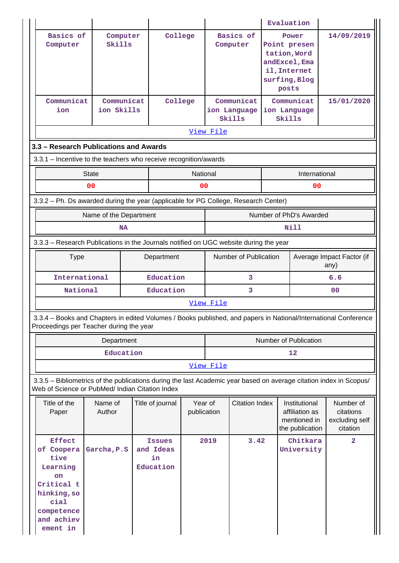|                                                                                                                                                                       |                          |  |                                               |                        |                       |                                      |  | Evaluation                                                                                       |                                                      |
|-----------------------------------------------------------------------------------------------------------------------------------------------------------------------|--------------------------|--|-----------------------------------------------|------------------------|-----------------------|--------------------------------------|--|--------------------------------------------------------------------------------------------------|------------------------------------------------------|
| Basics of<br>Computer                                                                                                                                                 | Computer<br>Skills       |  | College                                       |                        |                       | Basics of<br>Computer                |  | Power<br>Point presen<br>tation, Word<br>andExcel, Ema<br>il, Internet<br>surfing, Blog<br>posts | 14/09/2019                                           |
| Communicat<br>ion                                                                                                                                                     | Communicat<br>ion Skills |  | College                                       |                        |                       | Communicat<br>ion Language<br>Skills |  | Communicat<br>ion Language<br>Skills                                                             | 15/01/2020                                           |
|                                                                                                                                                                       |                          |  |                                               |                        | View File             |                                      |  |                                                                                                  |                                                      |
| 3.3 – Research Publications and Awards                                                                                                                                |                          |  |                                               |                        |                       |                                      |  |                                                                                                  |                                                      |
| 3.3.1 - Incentive to the teachers who receive recognition/awards<br><b>State</b><br>National<br>International                                                         |                          |  |                                               |                        |                       |                                      |  |                                                                                                  |                                                      |
|                                                                                                                                                                       | 00                       |  |                                               | 00                     |                       |                                      |  | 00                                                                                               |                                                      |
| 3.3.2 - Ph. Ds awarded during the year (applicable for PG College, Research Center)                                                                                   |                          |  |                                               |                        |                       |                                      |  |                                                                                                  |                                                      |
|                                                                                                                                                                       | Name of the Department   |  |                                               |                        |                       |                                      |  | Number of PhD's Awarded                                                                          |                                                      |
|                                                                                                                                                                       | <b>NA</b>                |  |                                               | Nill                   |                       |                                      |  |                                                                                                  |                                                      |
| 3.3.3 - Research Publications in the Journals notified on UGC website during the year                                                                                 |                          |  |                                               |                        |                       |                                      |  |                                                                                                  |                                                      |
| <b>Type</b><br>Department                                                                                                                                             |                          |  |                                               |                        |                       | Number of Publication                |  |                                                                                                  | Average Impact Factor (if<br>any)                    |
| International<br>Education                                                                                                                                            |                          |  |                                               |                        |                       | 3                                    |  |                                                                                                  | 6.6                                                  |
| National                                                                                                                                                              |                          |  | Education                                     |                        | 3                     |                                      |  |                                                                                                  | 0 <sup>0</sup>                                       |
|                                                                                                                                                                       |                          |  |                                               |                        | View File             |                                      |  |                                                                                                  |                                                      |
| 3.3.4 – Books and Chapters in edited Volumes / Books published, and papers in National/International Conference<br>Proceedings per Teacher during the year            |                          |  |                                               |                        |                       |                                      |  |                                                                                                  |                                                      |
|                                                                                                                                                                       | Department               |  |                                               |                        | Number of Publication |                                      |  |                                                                                                  |                                                      |
|                                                                                                                                                                       | Education                |  |                                               |                        | 12                    |                                      |  |                                                                                                  |                                                      |
|                                                                                                                                                                       |                          |  |                                               |                        | View File             |                                      |  |                                                                                                  |                                                      |
| 3.3.5 - Bibliometrics of the publications during the last Academic year based on average citation index in Scopus/<br>Web of Science or PubMed/ Indian Citation Index |                          |  |                                               |                        |                       |                                      |  |                                                                                                  |                                                      |
| Title of the<br>Paper                                                                                                                                                 | Name of<br>Author        |  | Title of journal                              | Year of<br>publication |                       | <b>Citation Index</b>                |  | Institutional<br>affiliation as<br>mentioned in<br>the publication                               | Number of<br>citations<br>excluding self<br>citation |
| <b>Effect</b><br>of Coopera<br>tive<br>Learning<br><b>on</b><br>Critical t<br>hinking, so<br>cial<br>competence<br>and achiev<br>ement in                             | Garcha, P.S              |  | <b>Issues</b><br>and Ideas<br>in<br>Education |                        | 2019                  | 3.42                                 |  | Chitkara<br>University                                                                           | $\overline{a}$                                       |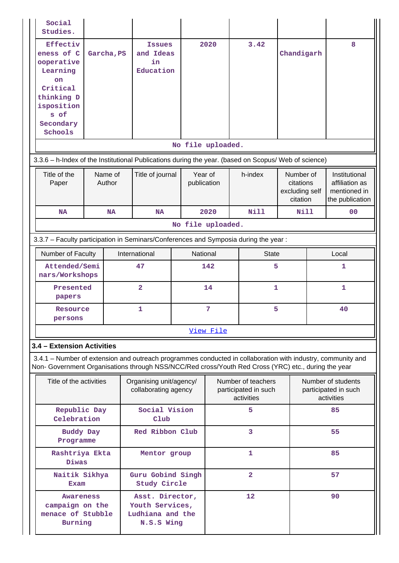| Social<br>Studies.                                                                                                                                                                                                 |                   |           |                                                                      |                   |                        |                                                          |                                                      |    |                                                                    |
|--------------------------------------------------------------------------------------------------------------------------------------------------------------------------------------------------------------------|-------------------|-----------|----------------------------------------------------------------------|-------------------|------------------------|----------------------------------------------------------|------------------------------------------------------|----|--------------------------------------------------------------------|
| Effectiv<br>eness of C<br>ooperative<br>Learning<br><b>on</b><br>Critical<br>thinking D<br>isposition<br>s of<br>Secondary<br>Schools                                                                              | Garcha, PS        |           | <b>Issues</b><br>and Ideas<br>in<br>Education                        |                   | 2020                   | 3.42                                                     | Chandigarh                                           |    | 8                                                                  |
|                                                                                                                                                                                                                    |                   |           |                                                                      | No file uploaded. |                        |                                                          |                                                      |    |                                                                    |
| 3.3.6 - h-Index of the Institutional Publications during the year. (based on Scopus/ Web of science)                                                                                                               |                   |           |                                                                      |                   |                        |                                                          |                                                      |    |                                                                    |
| Title of the<br>Paper                                                                                                                                                                                              | Name of<br>Author |           | Title of journal                                                     |                   | Year of<br>publication | h-index                                                  | Number of<br>citations<br>excluding self<br>citation |    | Institutional<br>affiliation as<br>mentioned in<br>the publication |
| <b>NA</b>                                                                                                                                                                                                          |                   | <b>NA</b> | <b>NA</b>                                                            |                   | 2020                   | <b>Nill</b>                                              | Nill                                                 |    | 0 <sub>0</sub>                                                     |
|                                                                                                                                                                                                                    |                   |           |                                                                      | No file uploaded. |                        |                                                          |                                                      |    |                                                                    |
| 3.3.7 - Faculty participation in Seminars/Conferences and Symposia during the year:                                                                                                                                |                   |           |                                                                      |                   |                        |                                                          |                                                      |    |                                                                    |
| Number of Faculty                                                                                                                                                                                                  |                   |           | International                                                        |                   | National               | <b>State</b>                                             |                                                      |    | Local                                                              |
| Attended/Semi<br>nars/Workshops                                                                                                                                                                                    |                   |           | 47                                                                   |                   | 142                    | 5                                                        |                                                      |    | 1                                                                  |
| Presented<br>papers                                                                                                                                                                                                |                   |           | $\overline{\mathbf{2}}$                                              |                   | 14                     | 1                                                        |                                                      |    | 1                                                                  |
| Resource<br>persons                                                                                                                                                                                                |                   |           | 1                                                                    |                   | 7                      | 5                                                        |                                                      | 40 |                                                                    |
|                                                                                                                                                                                                                    |                   |           |                                                                      |                   | View File              |                                                          |                                                      |    |                                                                    |
| 3.4 - Extension Activities                                                                                                                                                                                         |                   |           |                                                                      |                   |                        |                                                          |                                                      |    |                                                                    |
| 3.4.1 - Number of extension and outreach programmes conducted in collaboration with industry, community and<br>Non- Government Organisations through NSS/NCC/Red cross/Youth Red Cross (YRC) etc., during the year |                   |           |                                                                      |                   |                        |                                                          |                                                      |    |                                                                    |
| Title of the activities                                                                                                                                                                                            |                   |           | Organising unit/agency/<br>collaborating agency                      |                   |                        | Number of teachers<br>participated in such<br>activities |                                                      |    | Number of students<br>participated in such<br>activities           |
| Republic Day<br>Celebration                                                                                                                                                                                        |                   |           | Social Vision<br>Club                                                |                   |                        | 5                                                        |                                                      |    | 85                                                                 |
| <b>Buddy Day</b><br>Programme                                                                                                                                                                                      |                   |           | Red Ribbon Club                                                      |                   |                        | 3                                                        |                                                      |    | 55                                                                 |
| Rashtriya Ekta<br>Diwas                                                                                                                                                                                            |                   |           | Mentor group                                                         |                   |                        | 1                                                        |                                                      |    | 85                                                                 |
| Naitik Sikhya<br><b>Exam</b>                                                                                                                                                                                       |                   |           | Guru Gobind Singh<br><b>Study Circle</b>                             |                   |                        | $\overline{2}$                                           |                                                      |    | 57                                                                 |
| Awareness<br>campaign on the<br>menace of Stubble<br><b>Burning</b>                                                                                                                                                |                   |           | Asst. Director,<br>Youth Services,<br>Ludhiana and the<br>N.S.S Wing |                   |                        | 12                                                       |                                                      |    | 90                                                                 |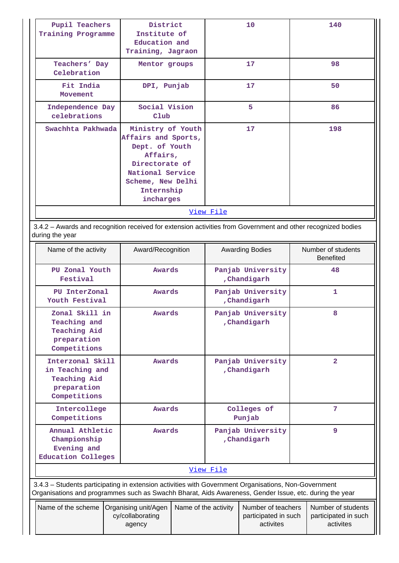| Pupil Teachers<br>Training Programme | District<br>Institute of<br>Education and<br>Training, Jagraon                                                                                               | 10 | 140 |  |  |  |  |
|--------------------------------------|--------------------------------------------------------------------------------------------------------------------------------------------------------------|----|-----|--|--|--|--|
| Teachers' Day<br>Celebration         | Mentor groups                                                                                                                                                | 17 | 98  |  |  |  |  |
| Fit India<br>Movement                | DPI, Punjab                                                                                                                                                  | 17 | 50  |  |  |  |  |
| Independence Day<br>celebrations     | Social Vision<br>$_{\rm Club}$                                                                                                                               | 5  | 86  |  |  |  |  |
| Swachhta Pakhwada                    | Ministry of Youth<br>Affairs and Sports,<br>Dept. of Youth<br>Affairs,<br>Directorate of<br>National Service<br>Scheme, New Delhi<br>Internship<br>incharges | 17 | 198 |  |  |  |  |
| <u>View File</u>                     |                                                                                                                                                              |    |     |  |  |  |  |

 3.4.2 – Awards and recognition received for extension activities from Government and other recognized bodies during the year

| Name of the activity                                                                                                                                                                                           | Award/Recognition                        |                                                                    | <b>Awarding Bodies</b> |                                   | Number of students<br><b>Benefited</b> |                                            |  |  |
|----------------------------------------------------------------------------------------------------------------------------------------------------------------------------------------------------------------|------------------------------------------|--------------------------------------------------------------------|------------------------|-----------------------------------|----------------------------------------|--------------------------------------------|--|--|
| PU Zonal Youth<br>Festival                                                                                                                                                                                     | <b>Awards</b>                            |                                                                    |                        | Panjab University<br>, Chandigarh |                                        | 48                                         |  |  |
| PU InterZonal<br>Youth Festival                                                                                                                                                                                |                                          | <b>Awards</b>                                                      |                        | Panjab University<br>, Chandigarh |                                        | 1                                          |  |  |
| Zonal Skill in<br>Teaching and<br><b>Teaching Aid</b><br>preparation<br>Competitions                                                                                                                           |                                          | <b>Awards</b>                                                      |                        | Panjab University<br>, Chandigarh |                                        | 8                                          |  |  |
| Interzonal Skill<br>in Teaching and<br><b>Teaching Aid</b><br>preparation<br>Competitions                                                                                                                      |                                          | <b>Awards</b>                                                      |                        | Panjab University<br>, Chandigarh |                                        | $\overline{\mathbf{2}}$                    |  |  |
| Intercollege<br>Competitions                                                                                                                                                                                   | <b>Awards</b>                            |                                                                    |                        | Colleges of<br>Punjab             | 7                                      |                                            |  |  |
| Annual Athletic<br><b>Awards</b><br>Championship<br>Evening and<br><b>Education Colleges</b>                                                                                                                   |                                          | Panjab University<br>, Chandigarh                                  |                        | 9                                 |                                        |                                            |  |  |
| View File                                                                                                                                                                                                      |                                          |                                                                    |                        |                                   |                                        |                                            |  |  |
| 3.4.3 - Students participating in extension activities with Government Organisations, Non-Government<br>Organisations and programmes such as Swachh Bharat, Aids Awareness, Gender Issue, etc. during the year |                                          |                                                                    |                        |                                   |                                        |                                            |  |  |
| Name of the scheme                                                                                                                                                                                             | Organising unit/Agen<br>cy/collaborating | Number of teachers<br>Name of the activity<br>participated in such |                        |                                   |                                        | Number of students<br>participated in such |  |  |

activites

activites

agency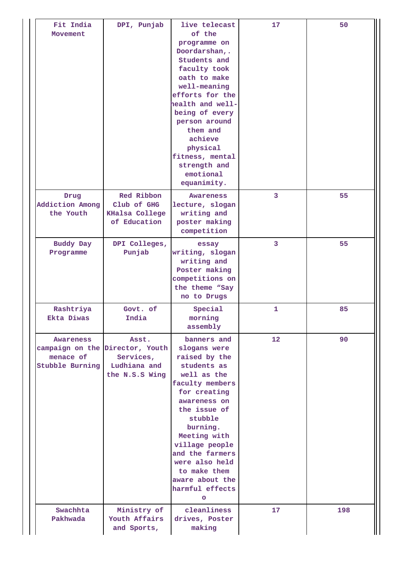| Fit India<br>Movement                            | DPI, Punjab                                                                             | live telecast<br>of the<br>programme on<br>Doordarshan,.<br>Students and<br>faculty took<br>oath to make<br>well-meaning<br>efforts for the<br>health and well-<br>being of every<br>person around<br>them and<br>achieve<br>physical<br>fitness, mental<br>strength and<br>emotional<br>equanimity.   | 17             | 50  |
|--------------------------------------------------|-----------------------------------------------------------------------------------------|--------------------------------------------------------------------------------------------------------------------------------------------------------------------------------------------------------------------------------------------------------------------------------------------------------|----------------|-----|
| Drug<br><b>Addiction Among</b><br>the Youth      | Red Ribbon<br>Club of GHG<br><b>KHalsa College</b><br>of Education                      | Awareness<br>lecture, slogan<br>writing and<br>poster making<br>competition                                                                                                                                                                                                                            | $\overline{3}$ | 55  |
| <b>Buddy Day</b><br>Programme                    | DPI Colleges,<br>Punjab                                                                 | essay<br>writing, slogan<br>writing and<br>Poster making<br>competitions on<br>the theme "Say<br>no to Drugs                                                                                                                                                                                           | 3              | 55  |
| Rashtriya<br>Ekta Diwas                          | Govt. of<br>India                                                                       | Special<br>morning<br>assembly                                                                                                                                                                                                                                                                         | 1              | 85  |
| <b>Awareness</b><br>menace of<br>Stubble Burning | Asst.<br>campaign on the Director, Youth<br>Services,<br>Ludhiana and<br>the N.S.S Wing | banners and<br>slogans were<br>raised by the<br>students as<br>well as the<br>faculty members<br>for creating<br>awareness on<br>the issue of<br>stubble<br>burning.<br>Meeting with<br>village people<br>and the farmers<br>were also held<br>to make them<br>aware about the<br>harmful effects<br>O | 12             | 90  |
| Swachhta<br>Pakhwada                             | Ministry of<br>Youth Affairs<br>and Sports,                                             | cleanliness<br>drives, Poster<br>making                                                                                                                                                                                                                                                                | 17             | 198 |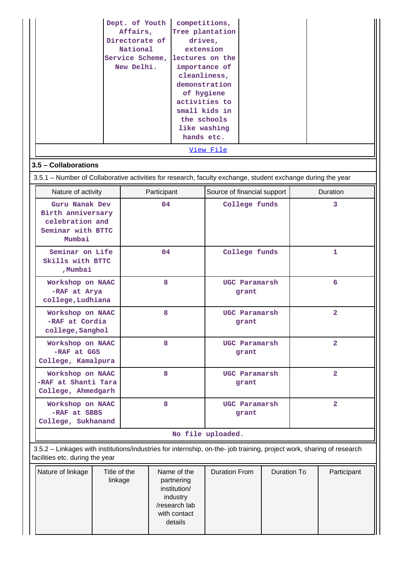|                                              |                                                                                                             |  | Dept. of Youth<br>Affairs,<br>Directorate of<br>National<br>Service Scheme,<br>New Delhi.         |                      | competitions,<br>drives,<br>cleanliness,<br>of hygiene<br>the schools<br>hands etc. | Tree plantation<br>extension<br>lectures on the<br>importance of<br>demonstration<br>activities to<br>small kids in<br>like washing |                        |             |                         |                                                                                                                       |
|----------------------------------------------|-------------------------------------------------------------------------------------------------------------|--|---------------------------------------------------------------------------------------------------|----------------------|-------------------------------------------------------------------------------------|-------------------------------------------------------------------------------------------------------------------------------------|------------------------|-------------|-------------------------|-----------------------------------------------------------------------------------------------------------------------|
|                                              | 3.5 - Collaborations                                                                                        |  |                                                                                                   |                      |                                                                                     | View File                                                                                                                           |                        |             |                         |                                                                                                                       |
|                                              | 3.5.1 – Number of Collaborative activities for research, faculty exchange, student exchange during the year |  |                                                                                                   |                      |                                                                                     |                                                                                                                                     |                        |             |                         |                                                                                                                       |
|                                              | Nature of activity                                                                                          |  |                                                                                                   | Participant          |                                                                                     | Source of financial support                                                                                                         |                        |             |                         | Duration                                                                                                              |
|                                              | Guru Nanak Dev<br>Birth anniversary<br>celebration and<br>Seminar with BTTC<br>Mumbai                       |  |                                                                                                   | 04                   |                                                                                     | College funds                                                                                                                       |                        |             |                         | 3                                                                                                                     |
|                                              | Seminar on Life<br>Skills with BTTC<br>, Mumbai                                                             |  |                                                                                                   | 04                   |                                                                                     | College funds                                                                                                                       |                        |             | 1                       |                                                                                                                       |
|                                              | Workshop on NAAC<br>-RAF at Arya<br>college, Ludhiana                                                       |  |                                                                                                   | 8                    |                                                                                     | UGC Paramarsh<br>grant                                                                                                              |                        |             |                         | 6                                                                                                                     |
|                                              | Workshop on NAAC<br>-RAF at Cordia<br>college, Sanghol                                                      |  |                                                                                                   | 8                    |                                                                                     | UGC Paramarsh<br>grant                                                                                                              |                        |             |                         | $\overline{a}$                                                                                                        |
|                                              | Workshop on NAAC<br>-RAF at GGS<br>College, Kamalpura                                                       |  |                                                                                                   | 8                    |                                                                                     | UGC Paramarsh<br>grant                                                                                                              |                        |             | $\overline{2}$          |                                                                                                                       |
|                                              | Workshop on NAAC<br>-RAF at Shanti Tara<br>College, Ahmedgarh                                               |  |                                                                                                   | 8                    |                                                                                     |                                                                                                                                     | UGC Paramarsh<br>grant |             |                         | $\overline{2}$                                                                                                        |
|                                              | Workshop on NAAC<br>-RAF at SBBS<br>College, Sukhanand                                                      |  |                                                                                                   | 8                    |                                                                                     |                                                                                                                                     | UGC Paramarsh<br>grant |             | $\overline{\mathbf{2}}$ |                                                                                                                       |
|                                              |                                                                                                             |  |                                                                                                   |                      |                                                                                     | No file uploaded.                                                                                                                   |                        |             |                         |                                                                                                                       |
|                                              | facilities etc. during the year                                                                             |  |                                                                                                   |                      |                                                                                     |                                                                                                                                     |                        |             |                         | 3.5.2 - Linkages with institutions/industries for internship, on-the- job training, project work, sharing of research |
| Nature of linkage<br>Title of the<br>linkage |                                                                                                             |  | Name of the<br>partnering<br>institution/<br>industry<br>/research lab<br>with contact<br>details | <b>Duration From</b> |                                                                                     | <b>Duration To</b>                                                                                                                  |                        | Participant |                         |                                                                                                                       |

a l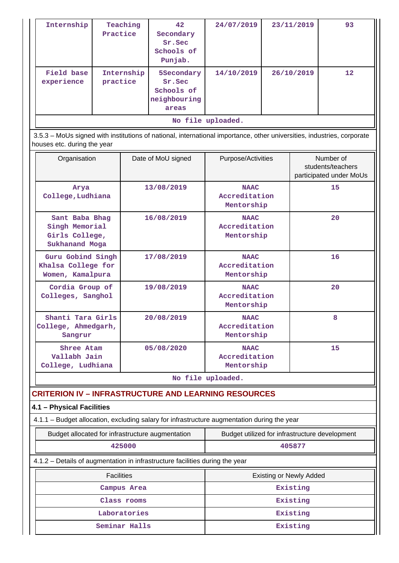| Internship               | Teaching<br>Practice   | 42 <sup>°</sup><br>Secondary<br>Sr.Sec<br>Schools of<br>Punjab. | 24/07/2019 | 23/11/2019 | 93                |  |  |  |  |
|--------------------------|------------------------|-----------------------------------------------------------------|------------|------------|-------------------|--|--|--|--|
| Field base<br>experience | Internship<br>practice | 5Secondary<br>Sr.Sec<br>Schools of<br>neighbouring<br>areas     | 14/10/2019 | 26/10/2019 | $12 \overline{ }$ |  |  |  |  |
| No file uploaded.        |                        |                                                                 |            |            |                   |  |  |  |  |

 3.5.3 – MoUs signed with institutions of national, international importance, other universities, industries, corporate houses etc. during the year

| Organisation                                                         | Date of MoU signed | Purpose/Activities                         | Number of<br>students/teachers<br>participated under MoUs |
|----------------------------------------------------------------------|--------------------|--------------------------------------------|-----------------------------------------------------------|
| Arya<br>College, Ludhiana                                            | 13/08/2019         | <b>NAAC</b><br>Accreditation<br>Mentorship | 15                                                        |
| Sant Baba Bhag<br>Singh Memorial<br>Girls College,<br>Sukhanand Moga | 16/08/2019         | <b>NAAC</b><br>Accreditation<br>Mentorship | 20                                                        |
| Guru Gobind Singh<br>Khalsa College for<br>Women, Kamalpura          | 17/08/2019         | <b>NAAC</b><br>Accreditation<br>Mentorship | 16                                                        |
| Cordia Group of<br>Colleges, Sanghol                                 | 19/08/2019         | <b>NAAC</b><br>Accreditation<br>Mentorship | 20                                                        |
| Shanti Tara Girls<br>College, Ahmedgarh,<br>Sangrur                  | 20/08/2019         | <b>NAAC</b><br>Accreditation<br>Mentorship | 8                                                         |
| Shree Atam<br>Vallabh Jain<br>College, Ludhiana                      | 05/08/2020         | <b>NAAC</b><br>Accreditation<br>Mentorship | 15                                                        |
|                                                                      |                    | No file uploaded.                          |                                                           |

# **CRITERION IV – INFRASTRUCTURE AND LEARNING RESOURCES**

### **4.1 – Physical Facilities**

4.1.1 – Budget allocation, excluding salary for infrastructure augmentation during the year

| Budget allocated for infrastructure augmentation | Budget utilized for infrastructure development |
|--------------------------------------------------|------------------------------------------------|
| 425000                                           | 405877                                         |

4.1.2 – Details of augmentation in infrastructure facilities during the year

| <b>Facilities</b> | Existing or Newly Added |  |  |  |
|-------------------|-------------------------|--|--|--|
| Campus Area       | Existing                |  |  |  |
| Class rooms       | Existing                |  |  |  |
| Laboratories      | Existing                |  |  |  |
| Seminar Halls     | Existing                |  |  |  |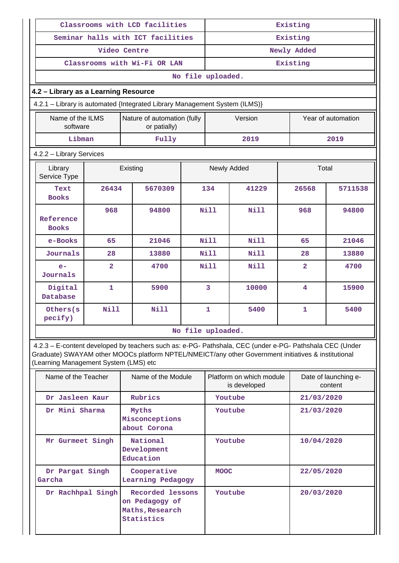|                                                                                                           |                |          | Classrooms with LCD facilities                                                                          | Existing          |                |             |                |  |                    |  |
|-----------------------------------------------------------------------------------------------------------|----------------|----------|---------------------------------------------------------------------------------------------------------|-------------------|----------------|-------------|----------------|--|--------------------|--|
|                                                                                                           |                |          | Seminar halls with ICT facilities                                                                       | Existing          |                |             |                |  |                    |  |
|                                                                                                           | Video Centre   |          |                                                                                                         |                   |                | Newly Added |                |  |                    |  |
|                                                                                                           |                |          | Classrooms with Wi-Fi OR LAN                                                                            |                   |                |             | Existing       |  |                    |  |
|                                                                                                           |                |          |                                                                                                         | No file uploaded. |                |             |                |  |                    |  |
| 4.2 - Library as a Learning Resource                                                                      |                |          |                                                                                                         |                   |                |             |                |  |                    |  |
| 4.2.1 - Library is automated {Integrated Library Management System (ILMS)}                                |                |          |                                                                                                         |                   |                |             |                |  |                    |  |
| Name of the ILMS<br>software                                                                              |                |          | Nature of automation (fully<br>or patially)                                                             |                   |                | Version     |                |  | Year of automation |  |
| Libman                                                                                                    |                |          | Fully                                                                                                   |                   |                | 2019        |                |  | 2019               |  |
| 4.2.2 - Library Services                                                                                  |                |          |                                                                                                         |                   |                |             |                |  |                    |  |
| Library<br>Service Type                                                                                   |                | Existing |                                                                                                         |                   | Newly Added    |             | Total          |  |                    |  |
| Text<br><b>Books</b>                                                                                      | 26434          |          | 5670309                                                                                                 | 134               |                | 41229       | 26568          |  | 5711538            |  |
| Reference<br><b>Books</b>                                                                                 | 968            |          | 94800                                                                                                   |                   | N111           | Nill        | 968            |  | 94800              |  |
| e-Books                                                                                                   | 65             |          | 21046                                                                                                   |                   | Nill           | Nill        | 65             |  | 21046              |  |
| Journals                                                                                                  | 28             |          | 13880                                                                                                   |                   | N111           | Nill        | 28             |  | 13880              |  |
| $e-$<br>Journals                                                                                          | $\overline{2}$ |          | 4700                                                                                                    |                   | <b>Nill</b>    | Nill        | $\overline{2}$ |  | 4700               |  |
| Digital<br>$\mathbf{1}$<br>Database                                                                       |                |          | 5900                                                                                                    |                   | $\overline{3}$ | 10000       | 4              |  | 15900              |  |
| Others(s<br>pecify)                                                                                       | <b>Nill</b>    |          | <b>Nill</b>                                                                                             |                   | $\mathbf{1}$   | 5400        | 1              |  | 5400               |  |
|                                                                                                           |                |          |                                                                                                         | No file uploaded. |                |             |                |  |                    |  |
|                                                                                                           |                |          | 4.2.3 - E-content developed by teachers such as: e-PG- Pathshala, CEC (under e-PG- Pathshala CEC (Under |                   |                |             |                |  |                    |  |
| Craditate) CIMAVAM athor MOOCe platform NDTEL (NIMEIOT/anicather Coverage out initiatives 8 institutional |                |          |                                                                                                         |                   |                |             |                |  |                    |  |

Graduate) SWAYAM other MOOCs platform NPTEL/NMEICT/any other Government initiatives & institutional (Learning Management System (LMS) etc

| Name of the Teacher       | Name of the Module                                                  | Platform on which module<br>is developed |            |
|---------------------------|---------------------------------------------------------------------|------------------------------------------|------------|
| Dr Jasleen Kaur           | Rubrics                                                             | Youtube                                  | 21/03/2020 |
| Dr Mini Sharma            | Myths<br>Misconceptions<br>about Corona                             | Youtube                                  | 21/03/2020 |
| Mr Gurmeet Singh          | National<br>Development<br>Education                                | Youtube                                  | 10/04/2020 |
| Dr Pargat Singh<br>Garcha | Cooperative<br>Learning Pedagogy                                    | <b>MOOC</b>                              | 22/05/2020 |
| Dr Rachhpal Singh         | Recorded lessons<br>on Pedagogy of<br>Maths, Research<br>Statistics | Youtube                                  | 20/03/2020 |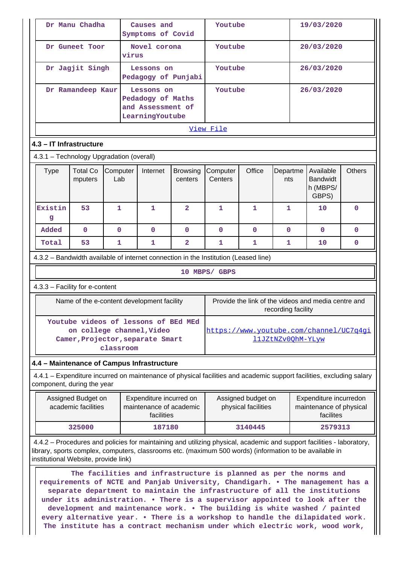| Dr Manu Chadha                                                                                                                                                                                                                                                           |                                                                                                                                                                                                                                                                                                                                                                                                                                                                                                                                                                   |                                                                         |  | Causes and<br>Symptoms of Covid                                                                       |                |               | Youtube                                   |                    |                                                                                                                      | 19/03/2020 |  |
|--------------------------------------------------------------------------------------------------------------------------------------------------------------------------------------------------------------------------------------------------------------------------|-------------------------------------------------------------------------------------------------------------------------------------------------------------------------------------------------------------------------------------------------------------------------------------------------------------------------------------------------------------------------------------------------------------------------------------------------------------------------------------------------------------------------------------------------------------------|-------------------------------------------------------------------------|--|-------------------------------------------------------------------------------------------------------|----------------|---------------|-------------------------------------------|--------------------|----------------------------------------------------------------------------------------------------------------------|------------|--|
| Dr Guneet Toor                                                                                                                                                                                                                                                           |                                                                                                                                                                                                                                                                                                                                                                                                                                                                                                                                                                   |                                                                         |  | Novel corona<br>virus                                                                                 |                |               | Youtube                                   |                    |                                                                                                                      | 20/03/2020 |  |
|                                                                                                                                                                                                                                                                          | Dr Jagjit Singh                                                                                                                                                                                                                                                                                                                                                                                                                                                                                                                                                   |                                                                         |  | Lessons on<br>Pedagogy of Punjabi                                                                     |                | Youtube       |                                           |                    | 26/03/2020                                                                                                           |            |  |
| Dr Ramandeep Kaur                                                                                                                                                                                                                                                        |                                                                                                                                                                                                                                                                                                                                                                                                                                                                                                                                                                   | Lessons on<br>Pedadogy of Maths<br>and Assessment of<br>LearningYoutube |  |                                                                                                       | Youtube        |               |                                           | 26/03/2020         |                                                                                                                      |            |  |
|                                                                                                                                                                                                                                                                          | View File                                                                                                                                                                                                                                                                                                                                                                                                                                                                                                                                                         |                                                                         |  |                                                                                                       |                |               |                                           |                    |                                                                                                                      |            |  |
| 4.3 - IT Infrastructure                                                                                                                                                                                                                                                  |                                                                                                                                                                                                                                                                                                                                                                                                                                                                                                                                                                   |                                                                         |  |                                                                                                       |                |               |                                           |                    |                                                                                                                      |            |  |
| 4.3.1 - Technology Upgradation (overall)                                                                                                                                                                                                                                 |                                                                                                                                                                                                                                                                                                                                                                                                                                                                                                                                                                   |                                                                         |  |                                                                                                       |                |               |                                           |                    |                                                                                                                      |            |  |
| <b>Total Co</b><br>Computer<br>Office<br>Available<br><b>Type</b><br>Internet<br>Computer<br>Departme<br>Browsing<br>Centers<br><b>Bandwidt</b><br>Lab<br>mputers<br>centers<br>nts<br>h (MBPS/<br>GBPS)                                                                 |                                                                                                                                                                                                                                                                                                                                                                                                                                                                                                                                                                   |                                                                         |  |                                                                                                       |                |               |                                           | <b>Others</b>      |                                                                                                                      |            |  |
| Existin<br>g                                                                                                                                                                                                                                                             | 53                                                                                                                                                                                                                                                                                                                                                                                                                                                                                                                                                                | 1                                                                       |  | 1                                                                                                     | $\overline{2}$ | 1             | 1                                         | 1                  | 10                                                                                                                   | 0          |  |
| Added                                                                                                                                                                                                                                                                    | $\mathbf{O}$                                                                                                                                                                                                                                                                                                                                                                                                                                                                                                                                                      | $\mathbf{0}$                                                            |  | $\Omega$                                                                                              | $\mathbf{0}$   | $\Omega$      | $\Omega$                                  | $\mathbf{0}$       | $\Omega$                                                                                                             | $\Omega$   |  |
| Total                                                                                                                                                                                                                                                                    | 53                                                                                                                                                                                                                                                                                                                                                                                                                                                                                                                                                                | 1                                                                       |  | 1                                                                                                     | $\overline{a}$ | 1             | 1                                         | 1                  | 10                                                                                                                   | 0          |  |
| 4.3.2 – Bandwidth available of internet connection in the Institution (Leased line)                                                                                                                                                                                      |                                                                                                                                                                                                                                                                                                                                                                                                                                                                                                                                                                   |                                                                         |  |                                                                                                       |                |               |                                           |                    |                                                                                                                      |            |  |
|                                                                                                                                                                                                                                                                          |                                                                                                                                                                                                                                                                                                                                                                                                                                                                                                                                                                   |                                                                         |  |                                                                                                       |                | 10 MBPS/ GBPS |                                           |                    |                                                                                                                      |            |  |
| 4.3.3 - Facility for e-content                                                                                                                                                                                                                                           |                                                                                                                                                                                                                                                                                                                                                                                                                                                                                                                                                                   |                                                                         |  |                                                                                                       |                |               |                                           |                    |                                                                                                                      |            |  |
|                                                                                                                                                                                                                                                                          |                                                                                                                                                                                                                                                                                                                                                                                                                                                                                                                                                                   |                                                                         |  | Name of the e-content development facility                                                            |                |               |                                           | recording facility | Provide the link of the videos and media centre and                                                                  |            |  |
|                                                                                                                                                                                                                                                                          |                                                                                                                                                                                                                                                                                                                                                                                                                                                                                                                                                                   | classroom                                                               |  | Youtube videos of lessons of BEd MEd<br>on college channel, Video<br>Camer, Projector, separate Smart |                |               |                                           | 11JZtNZv0QhM-YLyw  | https://www.youtube.com/channel/UC7q4qi                                                                              |            |  |
| 4.4 - Maintenance of Campus Infrastructure                                                                                                                                                                                                                               |                                                                                                                                                                                                                                                                                                                                                                                                                                                                                                                                                                   |                                                                         |  |                                                                                                       |                |               |                                           |                    |                                                                                                                      |            |  |
| component, during the year                                                                                                                                                                                                                                               |                                                                                                                                                                                                                                                                                                                                                                                                                                                                                                                                                                   |                                                                         |  |                                                                                                       |                |               |                                           |                    | 4.4.1 – Expenditure incurred on maintenance of physical facilities and academic support facilities, excluding salary |            |  |
|                                                                                                                                                                                                                                                                          | Assigned Budget on<br>academic facilities                                                                                                                                                                                                                                                                                                                                                                                                                                                                                                                         |                                                                         |  | Expenditure incurred on<br>maintenance of academic<br>facilities                                      |                |               | Assigned budget on<br>physical facilities |                    | Expenditure incurredon<br>maintenance of physical<br>facilites                                                       |            |  |
|                                                                                                                                                                                                                                                                          | 325000                                                                                                                                                                                                                                                                                                                                                                                                                                                                                                                                                            |                                                                         |  | 187180                                                                                                |                |               | 3140445                                   |                    | 2579313                                                                                                              |            |  |
| 4.4.2 – Procedures and policies for maintaining and utilizing physical, academic and support facilities - laboratory,<br>library, sports complex, computers, classrooms etc. (maximum 500 words) (information to be available in<br>institutional Website, provide link) |                                                                                                                                                                                                                                                                                                                                                                                                                                                                                                                                                                   |                                                                         |  |                                                                                                       |                |               |                                           |                    |                                                                                                                      |            |  |
|                                                                                                                                                                                                                                                                          | The facilities and infrastructure is planned as per the norms and<br>requirements of NCTE and Panjab University, Chandigarh. . The management has a<br>separate department to maintain the infrastructure of all the institutions<br>under its administration. . There is a supervisor appointed to look after the<br>development and maintenance work. . The building is white washed / painted<br>every alternative year. . There is a workshop to handle the dilapidated work.<br>The institute has a contract mechanism under which electric work, wood work, |                                                                         |  |                                                                                                       |                |               |                                           |                    |                                                                                                                      |            |  |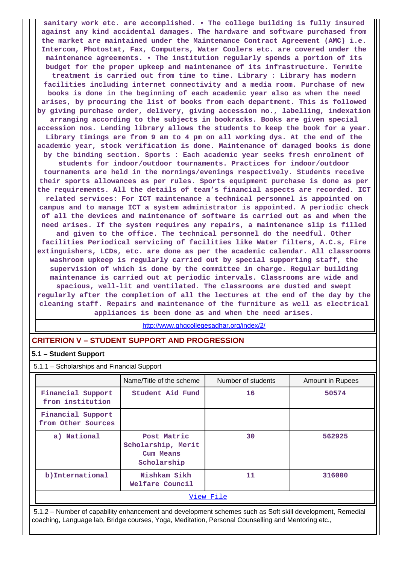**sanitary work etc. are accomplished. • The college building is fully insured against any kind accidental damages. The hardware and software purchased from the market are maintained under the Maintenance Contract Agreement (AMC) i.e. Intercom, Photostat, Fax, Computers, Water Coolers etc. are covered under the maintenance agreements. • The institution regularly spends a portion of its budget for the proper upkeep and maintenance of its infrastructure. Termite treatment is carried out from time to time. Library : Library has modern facilities including internet connectivity and a media room. Purchase of new books is done in the beginning of each academic year also as when the need arises, by procuring the list of books from each department. This is followed by giving purchase order, delivery, giving accession no., labelling, indexation arranging according to the subjects in bookracks. Books are given special accession nos. Lending library allows the students to keep the book for a year. Library timings are from 9 am to 4 pm on all working dys. At the end of the academic year, stock verification is done. Maintenance of damaged books is done by the binding section. Sports : Each academic year seeks fresh enrolment of students for indoor/outdoor tournaments. Practices for indoor/outdoor tournaments are held in the mornings/evenings respectively. Students receive their sports allowances as per rules. Sports equipment purchase is done as per the requirements. All the details of team's financial aspects are recorded. ICT related services: For ICT maintenance a technical personnel is appointed on campus and to manage ICT a system administrator is appointed. A periodic check of all the devices and maintenance of software is carried out as and when the need arises. If the system requires any repairs, a maintenance slip is filled and given to the office. The technical personnel do the needful. Other facilities Periodical servicing of facilities like Water filters, A.C.s, Fire extinguishers, LCDs, etc. are done as per the academic calendar. All classrooms washroom upkeep is regularly carried out by special supporting staff, the supervision of which is done by the committee in charge. Regular building maintenance is carried out at periodic intervals. Classrooms are wide and spacious, well-lit and ventilated. The classrooms are dusted and swept regularly after the completion of all the lectures at the end of the day by the cleaning staff. Repairs and maintenance of the furniture as well as electrical appliances is been done as and when the need arises.**

<http://www.ghgcollegesadhar.org/index/2/>

# **CRITERION V – STUDENT SUPPORT AND PROGRESSION**

### **5.1 – Student Support**

5.1.1 – Scholarships and Financial Support

|                                         | Name/Title of the scheme                                      | Number of students | Amount in Rupees |  |  |  |  |
|-----------------------------------------|---------------------------------------------------------------|--------------------|------------------|--|--|--|--|
| Financial Support<br>from institution   | Student Aid Fund                                              | 16                 | 50574            |  |  |  |  |
| Financial Support<br>from Other Sources |                                                               |                    |                  |  |  |  |  |
| a) National                             | Post Matric<br>Scholarship, Merit<br>Cum Means<br>Scholarship | 30                 | 562925           |  |  |  |  |
| b) International                        | Nishkam Sikh<br>Welfare Council                               | 11                 | 316000           |  |  |  |  |
| View File                               |                                                               |                    |                  |  |  |  |  |

 5.1.2 – Number of capability enhancement and development schemes such as Soft skill development, Remedial coaching, Language lab, Bridge courses, Yoga, Meditation, Personal Counselling and Mentoring etc.,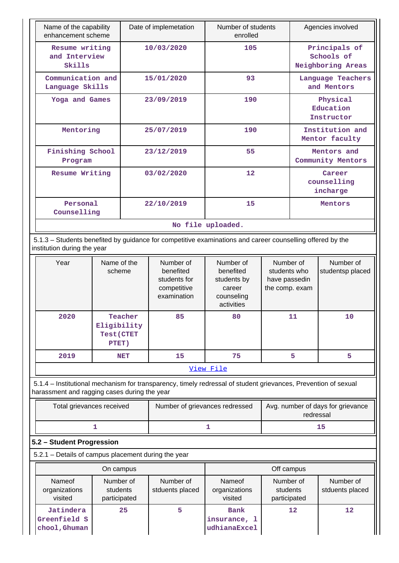| Name of the capability<br>enhancement scheme |                                                                                                                                          | Date of implemetation<br>Number of students<br>enrolled |     |  |                                   | Agencies involved                                |  |  |  |
|----------------------------------------------|------------------------------------------------------------------------------------------------------------------------------------------|---------------------------------------------------------|-----|--|-----------------------------------|--------------------------------------------------|--|--|--|
| Resume writing<br>and Interview<br>Skills    |                                                                                                                                          | 10/03/2020                                              | 105 |  |                                   | Principals of<br>Schools of<br>Neighboring Areas |  |  |  |
| Communication and<br>Language Skills         |                                                                                                                                          | 15/01/2020                                              | 93  |  |                                   | Language Teachers<br>and Mentors                 |  |  |  |
| Yoga and Games                               |                                                                                                                                          | 23/09/2019                                              | 190 |  |                                   | Physical<br>Education<br>Instructor              |  |  |  |
| Mentoring                                    |                                                                                                                                          | 25/07/2019                                              | 190 |  | Institution and<br>Mentor faculty |                                                  |  |  |  |
| Finishing School<br>Program                  |                                                                                                                                          | 23/12/2019                                              | 55  |  |                                   | Mentors and<br>Community Mentors                 |  |  |  |
| Resume Writing                               |                                                                                                                                          | 03/02/2020                                              | 12  |  |                                   | Career<br>counselling<br>incharge                |  |  |  |
| Personal<br>Counselling                      |                                                                                                                                          | 22/10/2019                                              | 15  |  |                                   | Mentors                                          |  |  |  |
|                                              | No file uploaded.                                                                                                                        |                                                         |     |  |                                   |                                                  |  |  |  |
|                                              | 5.1.3 – Students benefited by guidance for competitive examinations and career counselling offered by the<br>institution during the year |                                                         |     |  |                                   |                                                  |  |  |  |
| Year                                         | Name of the<br>Number of<br>Number of<br>Number of                                                                                       |                                                         |     |  |                                   | Number of                                        |  |  |  |

| <b>Year</b> | Name or the<br>scheme                                | Number of<br>benefited<br>students for<br>competitive<br>examination | Number of<br>benefited<br>students by<br>career<br>counseling<br>activities | Number of<br>students who<br>have passedin<br>the comp. exam | Number of<br>studentsp placed |  |  |  |  |  |
|-------------|------------------------------------------------------|----------------------------------------------------------------------|-----------------------------------------------------------------------------|--------------------------------------------------------------|-------------------------------|--|--|--|--|--|
| 2020        | Teacher<br>Eligibility<br><b>Test (CTET</b><br>PTET) | 85                                                                   | 80                                                                          | 11                                                           | 10                            |  |  |  |  |  |
| 2019        | <b>NET</b>                                           | 15                                                                   | 75                                                                          | 5                                                            | 5                             |  |  |  |  |  |
| View File   |                                                      |                                                                      |                                                                             |                                                              |                               |  |  |  |  |  |

 5.1.4 – Institutional mechanism for transparency, timely redressal of student grievances, Prevention of sexual harassment and ragging cases during the year

| Total grievances received | Number of grievances redressed | Avg. number of days for grievance<br>redressal |
|---------------------------|--------------------------------|------------------------------------------------|
|                           |                                |                                                |

# **5.2 – Student Progression**

5.2.1 – Details of campus placement during the year

| On campus                                  |                                       |                              | Off campus                                  |                                       |                              |
|--------------------------------------------|---------------------------------------|------------------------------|---------------------------------------------|---------------------------------------|------------------------------|
| Nameof<br>organizations<br>visited         | Number of<br>students<br>participated | Number of<br>stduents placed | Nameof<br>organizations<br>visited          | Number of<br>students<br>participated | Number of<br>stduents placed |
| Jatindera<br>Greenfield S<br>chool, Ghuman | 25                                    | 5                            | <b>Bank</b><br>insurance, 1<br>udhianaExcel | 12                                    | $12 \overline{ }$            |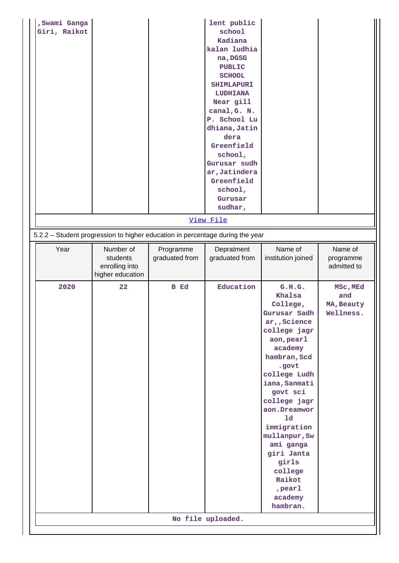| , Swami Ganga<br>Giri, Raikot |                                                                               |                | lent public<br>school<br>Kadiana<br>kalan ludhia<br>na, DGSG<br><b>PUBLIC</b><br><b>SCHOOL</b><br><b>SHIMLAPURI</b><br><b>LUDHIANA</b><br>Near gill<br>canal, G. N.<br>P. School Lu<br>dhiana, Jatin<br>dera<br>Greenfield<br>school,<br>Gurusar sudh<br>ar, Jatindera<br>Greenfield<br>school,<br>Gurusar<br>sudhar,<br>View File |                                                                                                                                                                                                                                                                                                                                             |                                            |
|-------------------------------|-------------------------------------------------------------------------------|----------------|------------------------------------------------------------------------------------------------------------------------------------------------------------------------------------------------------------------------------------------------------------------------------------------------------------------------------------|---------------------------------------------------------------------------------------------------------------------------------------------------------------------------------------------------------------------------------------------------------------------------------------------------------------------------------------------|--------------------------------------------|
|                               | 5.2.2 - Student progression to higher education in percentage during the year |                |                                                                                                                                                                                                                                                                                                                                    |                                                                                                                                                                                                                                                                                                                                             |                                            |
| Year                          | Number of                                                                     | Programme      | Depratment                                                                                                                                                                                                                                                                                                                         | Name of                                                                                                                                                                                                                                                                                                                                     | Name of                                    |
|                               | students<br>enrolling into<br>higher education                                | graduated from | graduated from                                                                                                                                                                                                                                                                                                                     | institution joined                                                                                                                                                                                                                                                                                                                          | programme<br>admitted to                   |
| 2020                          | 22                                                                            | <b>B</b> Ed    | Education<br>No file uploaded.                                                                                                                                                                                                                                                                                                     | G.H.G.<br>Khalsa<br>College,<br>Gurusar Sadh<br>ar, Science<br>college jagr<br>aon, pearl<br>academy<br>hambran, Scd<br>.govt<br>college Ludh<br>iana, Sanmati<br>govt sci<br>college jagr<br>aon.Dreamwor<br>1d<br>immigration<br>mullanpur, Sw<br>ami ganga<br>giri Janta<br>girls<br>college<br>Raikot<br>, pearl<br>academy<br>hambran. | MSc, MEd<br>and<br>MA, Beauty<br>Wellness. |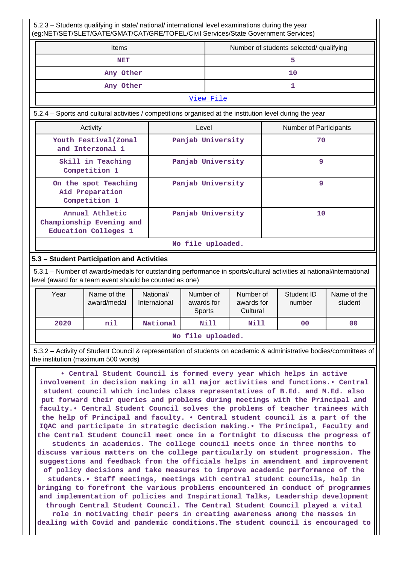5.2.3 – Students qualifying in state/ national/ international level examinations during the year (eg:NET/SET/SLET/GATE/GMAT/CAT/GRE/TOFEL/Civil Services/State Government Services) Items **Number of students selected/ qualifying NET** 5 Any Other 10 Any Other 1 [View File](https://assessmentonline.naac.gov.in/public/Postacc/Qualifying/7162_Qualifying_1607497193.xlsx) 5.2.4 – Sports and cultural activities / competitions organised at the institution level during the year Activity **Activity Level** Level **Number of Participants Youth Festival(Zonal and Interzonal 1** Panjab University 10  **Skill in Teaching Competition 1 Panjab University 9 On the spot Teaching Aid Preparation Competition 1 Panjab University 9 Annual Athletic Championship Evening and Education Colleges 1** Panjab University 10

**No file uploaded.**

# **5.3 – Student Participation and Activities**

 5.3.1 – Number of awards/medals for outstanding performance in sports/cultural activities at national/international level (award for a team event should be counted as one)

| Year              | Name of the<br>award/medal | National/<br>Internaional | Number of<br>awards for<br>Sports | Number of<br>awards for<br>Cultural | Student ID<br>number | Name of the<br>student |
|-------------------|----------------------------|---------------------------|-----------------------------------|-------------------------------------|----------------------|------------------------|
| 2020              | nil                        | National                  | Nill                              | Nill                                | 00                   | 00                     |
| No file uploaded. |                            |                           |                                   |                                     |                      |                        |

 5.3.2 – Activity of Student Council & representation of students on academic & administrative bodies/committees of the institution (maximum 500 words)

 **• Central Student Council is formed every year which helps in active involvement in decision making in all major activities and functions.• Central student council which includes class representatives of B.Ed. and M.Ed. also put forward their queries and problems during meetings with the Principal and faculty.• Central Student Council solves the problems of teacher trainees with the help of Principal and faculty. • Central student council is a part of the IQAC and participate in strategic decision making.• The Principal, Faculty and the Central Student Council meet once in a fortnight to discuss the progress of students in academics. The college council meets once in three months to discuss various matters on the college particularly on student progression. The suggestions and feedback from the officials helps in amendment and improvement of policy decisions and take measures to improve academic performance of the students.• Staff meetings, meetings with central student councils, help in bringing to forefront the various problems encountered in conduct of programmes and implementation of policies and Inspirational Talks, Leadership development through Central Student Council. The Central Student Council played a vital role in motivating their peers in creating awareness among the masses in dealing with Covid and pandemic conditions.The student council is encouraged to**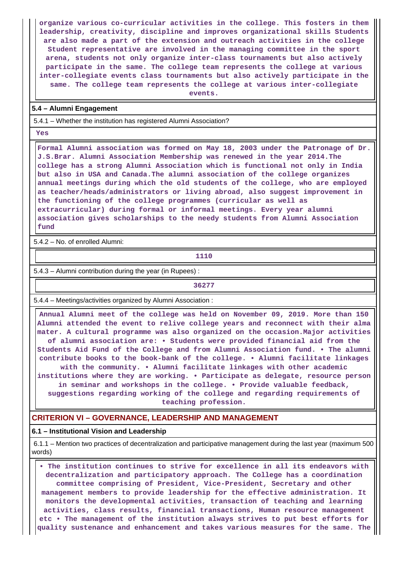**organize various co-curricular activities in the college. This fosters in them leadership, creativity, discipline and improves organizational skills Students are also made a part of the extension and outreach activities in the college Student representative are involved in the managing committee in the sport arena, students not only organize inter-class tournaments but also actively participate in the same. The college team represents the college at various inter-collegiate events class tournaments but also actively participate in the same. The college team represents the college at various inter-collegiate**

**events.**

### **5.4 – Alumni Engagement**

5.4.1 – Whether the institution has registered Alumni Association?

 **Yes**

 **Formal Alumni association was formed on May 18, 2003 under the Patronage of Dr. J.S.Brar. Alumni Association Membership was renewed in the year 2014.The college has a strong Alumni Association which is functional not only in India but also in USA and Canada.The alumni association of the college organizes annual meetings during which the old students of the college, who are employed as teacher/heads/administrators or living abroad, also suggest improvement in the functioning of the college programmes (curricular as well as extracurricular) during formal or informal meetings. Every year alumni association gives scholarships to the needy students from Alumni Association fund**

5.4.2 – No. of enrolled Alumni:

**1110** 

5.4.3 – Alumni contribution during the year (in Rupees) :

**36277**

5.4.4 – Meetings/activities organized by Alumni Association :

 **Annual Alumni meet of the college was held on November 09, 2019. More than 150 Alumni attended the event to relive college years and reconnect with their alma mater. A cultural programme was also organized on the occasion.Major activities of alumni association are: • Students were provided financial aid from the Students Aid Fund of the College and from Alumni Association fund. • The alumni contribute books to the book-bank of the college. • Alumni facilitate linkages with the community. • Alumni facilitate linkages with other academic institutions where they are working. • Participate as delegate, resource person in seminar and workshops in the college. • Provide valuable feedback, suggestions regarding working of the college and regarding requirements of teaching profession.**

**CRITERION VI – GOVERNANCE, LEADERSHIP AND MANAGEMENT**

### **6.1 – Institutional Vision and Leadership**

 6.1.1 – Mention two practices of decentralization and participative management during the last year (maximum 500 words)

 **• The institution continues to strive for excellence in all its endeavors with decentralization and participatory approach. The College has a coordination committee comprising of President, Vice-President, Secretary and other management members to provide leadership for the effective administration. It monitors the developmental activities, transaction of teaching and learning activities, class results, financial transactions, Human resource management etc • The management of the institution always strives to put best efforts for quality sustenance and enhancement and takes various measures for the same. The**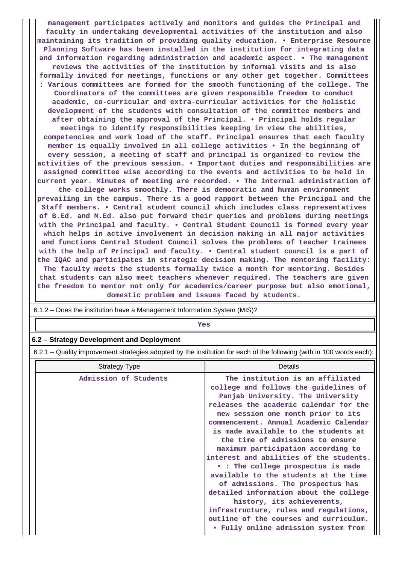**management participates actively and monitors and guides the Principal and faculty in undertaking developmental activities of the institution and also maintaining its tradition of providing quality education. • Enterprise Resource Planning Software has been installed in the institution for integrating data and information regarding administration and academic aspect. • The management reviews the activities of the institution by informal visits and is also formally invited for meetings, functions or any other get together. Committees : Various committees are formed for the smooth functioning of the college. The Coordinators of the committees are given responsible freedom to conduct academic, co-curricular and extra-curricular activities for the holistic development of the students with consultation of the committee members and after obtaining the approval of the Principal. • Principal holds regular meetings to identify responsibilities keeping in view the abilities, competencies and work load of the staff. Principal ensures that each faculty member is equally involved in all college activities • In the beginning of every session, a meeting of staff and principal is organized to review the activities of the previous session. • Important duties and responsibilities are assigned committee wise according to the events and activities to be held in current year. Minutes of meeting are recorded. • The internal administration of the college works smoothly. There is democratic and human environment prevailing in the campus. There is a good rapport between the Principal and the Staff members. • Central student council which includes class representatives of B.Ed. and M.Ed. also put forward their queries and problems during meetings with the Principal and faculty. • Central Student Council is formed every year which helps in active involvement in decision making in all major activities and functions Central Student Council solves the problems of teacher trainees with the help of Principal and faculty. • Central student council is a part of the IQAC and participates in strategic decision making. The mentoring facility: The faculty meets the students formally twice a month for mentoring. Besides that students can also meet teachers whenever required. The teachers are given the freedom to mentor not only for academics/career purpose but also emotional,**

**domestic problem and issues faced by students.**

6.1.2 – Does the institution have a Management Information System (MIS)?

# *Yes*

### **6.2 – Strategy Development and Deployment**

6.2.1 – Quality improvement strategies adopted by the institution for each of the following (with in 100 words each):

| <b>Strategy Type</b>  | Details                                                                                                                                                                                                                                                                                                                                                                                                                                                                                                                                                                                                                                     |
|-----------------------|---------------------------------------------------------------------------------------------------------------------------------------------------------------------------------------------------------------------------------------------------------------------------------------------------------------------------------------------------------------------------------------------------------------------------------------------------------------------------------------------------------------------------------------------------------------------------------------------------------------------------------------------|
| Admission of Students | The institution is an affiliated<br>college and follows the guidelines of<br>Panjab University. The University<br>releases the academic calendar for the<br>new session one month prior to its<br>commencement. Annual Academic Calendar<br>is made available to the students at<br>the time of admissions to ensure<br>maximum participation according to<br>interest and abilities of the students.<br>• : The college prospectus is made<br>available to the students at the time<br>of admissions. The prospectus has<br>detailed information about the college<br>history, its achievements,<br>infrastructure, rules and regulations, |
|                       | outline of the courses and curriculum.<br>• Fully online admission system from                                                                                                                                                                                                                                                                                                                                                                                                                                                                                                                                                              |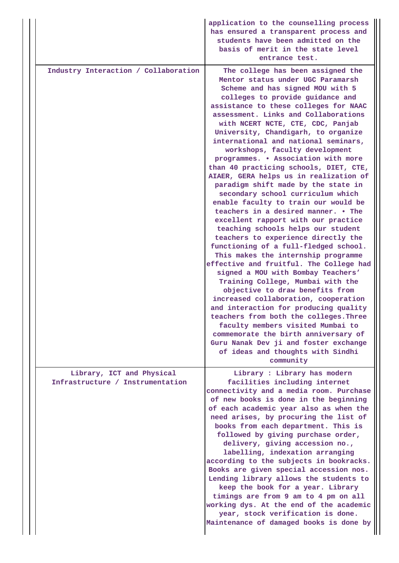|                                                               | application to the counselling process<br>has ensured a transparent process and<br>students have been admitted on the<br>basis of merit in the state level<br>entrance test.                                                                                                                                                                                                                                                                                                                                                                                                                                                                                                                                                                                                                                                                                                                                                                                                                                                                                                                                                                                                                                                                                                                                                                |
|---------------------------------------------------------------|---------------------------------------------------------------------------------------------------------------------------------------------------------------------------------------------------------------------------------------------------------------------------------------------------------------------------------------------------------------------------------------------------------------------------------------------------------------------------------------------------------------------------------------------------------------------------------------------------------------------------------------------------------------------------------------------------------------------------------------------------------------------------------------------------------------------------------------------------------------------------------------------------------------------------------------------------------------------------------------------------------------------------------------------------------------------------------------------------------------------------------------------------------------------------------------------------------------------------------------------------------------------------------------------------------------------------------------------|
| Industry Interaction / Collaboration                          | The college has been assigned the<br>Mentor status under UGC Paramarsh<br>Scheme and has signed MOU with 5<br>colleges to provide guidance and<br>assistance to these colleges for NAAC<br>assessment. Links and Collaborations<br>with NCERT NCTE, CTE, CDC, Panjab<br>University, Chandigarh, to organize<br>international and national seminars,<br>workshops, faculty development<br>programmes. . Association with more<br>than 40 practicing schools, DIET, CTE,<br>AIAER, GERA helps us in realization of<br>paradigm shift made by the state in<br>secondary school curriculum which<br>enable faculty to train our would be<br>teachers in a desired manner. . The<br>excellent rapport with our practice<br>teaching schools helps our student<br>teachers to experience directly the<br>functioning of a full-fledged school.<br>This makes the internship programme<br>effective and fruitful. The College had<br>signed a MOU with Bombay Teachers'<br>Training College, Mumbai with the<br>objective to draw benefits from<br>increased collaboration, cooperation<br>and interaction for producing quality<br>teachers from both the colleges. Three<br>faculty members visited Mumbai to<br>commemorate the birth anniversary of<br>Guru Nanak Dev ji and foster exchange<br>of ideas and thoughts with Sindhi<br>community |
| Library, ICT and Physical<br>Infrastructure / Instrumentation | Library : Library has modern<br>facilities including internet<br>connectivity and a media room. Purchase<br>of new books is done in the beginning<br>of each academic year also as when the<br>need arises, by procuring the list of<br>books from each department. This is<br>followed by giving purchase order,<br>delivery, giving accession no.,<br>labelling, indexation arranging<br>according to the subjects in bookracks.<br>Books are given special accession nos.<br>Lending library allows the students to<br>keep the book for a year. Library<br>timings are from 9 am to 4 pm on all<br>working dys. At the end of the academic<br>year, stock verification is done.<br>Maintenance of damaged books is done by                                                                                                                                                                                                                                                                                                                                                                                                                                                                                                                                                                                                              |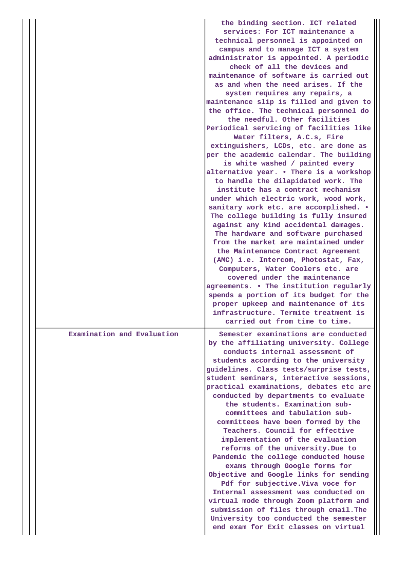|                            | the binding section. ICT related<br>services: For ICT maintenance a<br>technical personnel is appointed on<br>campus and to manage ICT a system<br>administrator is appointed. A periodic<br>check of all the devices and<br>maintenance of software is carried out<br>as and when the need arises. If the<br>system requires any repairs, a<br>maintenance slip is filled and given to<br>the office. The technical personnel do<br>the needful. Other facilities<br>Periodical servicing of facilities like<br>Water filters, A.C.s, Fire<br>extinguishers, LCDs, etc. are done as<br>per the academic calendar. The building<br>is white washed / painted every<br>alternative year. . There is a workshop<br>to handle the dilapidated work. The<br>institute has a contract mechanism<br>under which electric work, wood work,<br>sanitary work etc. are accomplished. .<br>The college building is fully insured<br>against any kind accidental damages.<br>The hardware and software purchased<br>from the market are maintained under<br>the Maintenance Contract Agreement<br>(AMC) i.e. Intercom, Photostat, Fax,<br>Computers, Water Coolers etc. are<br>covered under the maintenance<br>agreements. . The institution regularly<br>spends a portion of its budget for the<br>proper upkeep and maintenance of its<br>infrastructure. Termite treatment is |
|----------------------------|------------------------------------------------------------------------------------------------------------------------------------------------------------------------------------------------------------------------------------------------------------------------------------------------------------------------------------------------------------------------------------------------------------------------------------------------------------------------------------------------------------------------------------------------------------------------------------------------------------------------------------------------------------------------------------------------------------------------------------------------------------------------------------------------------------------------------------------------------------------------------------------------------------------------------------------------------------------------------------------------------------------------------------------------------------------------------------------------------------------------------------------------------------------------------------------------------------------------------------------------------------------------------------------------------------------------------------------------------------------------|
| Examination and Evaluation | carried out from time to time.<br>Semester examinations are conducted<br>by the affiliating university. College<br>conducts internal assessment of<br>students according to the university<br>guidelines. Class tests/surprise tests,<br>student seminars, interactive sessions,<br>practical examinations, debates etc are<br>conducted by departments to evaluate<br>the students. Examination sub-<br>committees and tabulation sub-<br>committees have been formed by the<br><b>Teachers. Council for effective</b><br>implementation of the evaluation<br>reforms of the university. Due to<br>Pandemic the college conducted house<br>exams through Google forms for<br>Objective and Google links for sending<br>Pdf for subjective. Viva voce for<br>Internal assessment was conducted on<br>virtual mode through Zoom platform and<br>submission of files through email. The<br>University too conducted the semester<br>end exam for Exit classes on virtual                                                                                                                                                                                                                                                                                                                                                                                                 |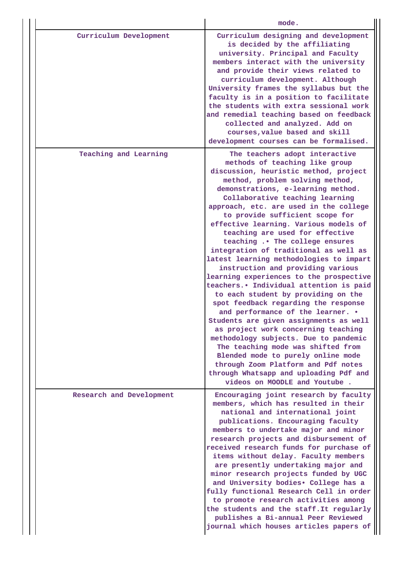|                          | mode.                                                                                                                                                                                                                                                                                                                                                                                                                                                                                                                                                                                                                                                                                                                                                                                                                                                                                                                                                                                                                                                                       |
|--------------------------|-----------------------------------------------------------------------------------------------------------------------------------------------------------------------------------------------------------------------------------------------------------------------------------------------------------------------------------------------------------------------------------------------------------------------------------------------------------------------------------------------------------------------------------------------------------------------------------------------------------------------------------------------------------------------------------------------------------------------------------------------------------------------------------------------------------------------------------------------------------------------------------------------------------------------------------------------------------------------------------------------------------------------------------------------------------------------------|
| Curriculum Development   | Curriculum designing and development<br>is decided by the affiliating<br>university. Principal and Faculty<br>members interact with the university<br>and provide their views related to<br>curriculum development. Although<br>University frames the syllabus but the<br>faculty is in a position to facilitate<br>the students with extra sessional work<br>and remedial teaching based on feedback<br>collected and analyzed. Add on<br>courses, value based and skill<br>development courses can be formalised.                                                                                                                                                                                                                                                                                                                                                                                                                                                                                                                                                         |
| Teaching and Learning    | The teachers adopt interactive<br>methods of teaching like group<br>discussion, heuristic method, project<br>method, problem solving method,<br>demonstrations, e-learning method.<br>Collaborative teaching learning<br>approach, etc. are used in the college<br>to provide sufficient scope for<br>effective learning. Various models of<br>teaching are used for effective<br>teaching  The college ensures<br>integration of traditional as well as<br>latest learning methodologies to impart<br>instruction and providing various<br>learning experiences to the prospective<br>teachers. • Individual attention is paid<br>to each student by providing on the<br>spot feedback regarding the response<br>and performance of the learner. .<br>Students are given assignments as well<br>as project work concerning teaching<br>methodology subjects. Due to pandemic<br>The teaching mode was shifted from<br>Blended mode to purely online mode<br>through Zoom Platform and Pdf notes<br>through Whatsapp and uploading Pdf and<br>videos on MOODLE and Youtube. |
| Research and Development | Encouraging joint research by faculty<br>members, which has resulted in their<br>national and international joint<br>publications. Encouraging faculty<br>members to undertake major and minor<br>research projects and disbursement of<br>received research funds for purchase of<br>items without delay. Faculty members<br>are presently undertaking major and<br>minor research projects funded by UGC<br>and University bodies. College has a<br>fully functional Research Cell in order<br>to promote research activities among<br>the students and the staff. It regularly<br>publishes a Bi-annual Peer Reviewed<br>journal which houses articles papers of                                                                                                                                                                                                                                                                                                                                                                                                         |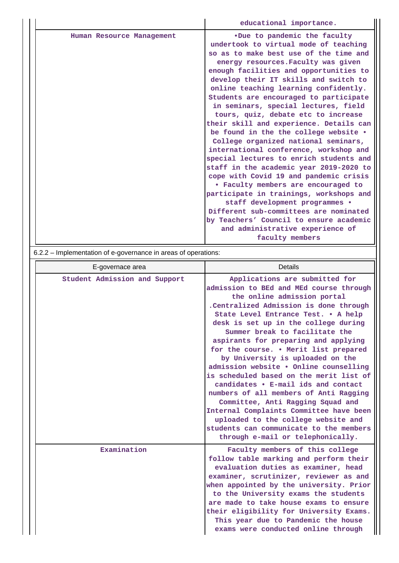|                           | educational importance.                                                                                                                                                                                                                                                                                                                                                                                                                                                                                                                                                                                                                                                                                                                                                                                                                                                                                                                                                           |
|---------------------------|-----------------------------------------------------------------------------------------------------------------------------------------------------------------------------------------------------------------------------------------------------------------------------------------------------------------------------------------------------------------------------------------------------------------------------------------------------------------------------------------------------------------------------------------------------------------------------------------------------------------------------------------------------------------------------------------------------------------------------------------------------------------------------------------------------------------------------------------------------------------------------------------------------------------------------------------------------------------------------------|
| Human Resource Management | .Due to pandemic the faculty<br>undertook to virtual mode of teaching<br>so as to make best use of the time and<br>energy resources. Faculty was given<br>enough facilities and opportunities to<br>develop their IT skills and switch to<br>online teaching learning confidently.<br>Students are encouraged to participate<br>in seminars, special lectures, field<br>tours, quiz, debate etc to increase<br>their skill and experience. Details can<br>be found in the the college website .<br>College organized national seminars,<br>international conference, workshop and<br>special lectures to enrich students and<br>staff in the academic year 2019-2020 to<br>cope with Covid 19 and pandemic crisis<br>• Faculty members are encouraged to<br>participate in trainings, workshops and<br>staff development programmes .<br>Different sub-committees are nominated<br>by Teachers' Council to ensure academic<br>and administrative experience of<br>faculty members |

6.2.2 – Implementation of e-governance in areas of operations:

| E-governace area              | <b>Details</b>                                                                                                                                                                                                                                                                                                                                                                                                                                                                                                                                                                                                                                                                                                                                                        |
|-------------------------------|-----------------------------------------------------------------------------------------------------------------------------------------------------------------------------------------------------------------------------------------------------------------------------------------------------------------------------------------------------------------------------------------------------------------------------------------------------------------------------------------------------------------------------------------------------------------------------------------------------------------------------------------------------------------------------------------------------------------------------------------------------------------------|
| Student Admission and Support | Applications are submitted for<br>admission to BEd and MEd course through<br>the online admission portal<br>.Centralized Admission is done through<br>State Level Entrance Test. . A help<br>desk is set up in the college during<br>Summer break to facilitate the<br>aspirants for preparing and applying<br>for the course. . Merit list prepared<br>by University is uploaded on the<br>admission website . Online counselling<br>is scheduled based on the merit list of<br>candidates • E-mail ids and contact<br>numbers of all members of Anti Ragging<br>Committee, Anti Ragging Squad and<br>Internal Complaints Committee have been<br>uploaded to the college website and<br>students can communicate to the members<br>through e-mail or telephonically. |
| Examination                   | Faculty members of this college<br>follow table marking and perform their<br>evaluation duties as examiner, head<br>examiner, scrutinizer, reviewer as and<br>when appointed by the university. Prior<br>to the University exams the students<br>are made to take house exams to ensure<br>their eligibility for University Exams.<br>This year due to Pandemic the house<br>exams were conducted online through                                                                                                                                                                                                                                                                                                                                                      |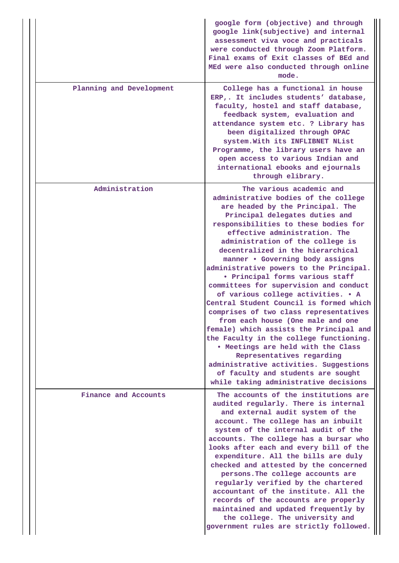|                          | google form (objective) and through<br>google link(subjective) and internal<br>assessment viva voce and practicals<br>were conducted through Zoom Platform.<br>Final exams of Exit classes of BEd and<br>MEd were also conducted through online<br>mode.                                                                                                                                                                                                                                                                                                                                                                                                                                                                                                                                                                                                                                              |
|--------------------------|-------------------------------------------------------------------------------------------------------------------------------------------------------------------------------------------------------------------------------------------------------------------------------------------------------------------------------------------------------------------------------------------------------------------------------------------------------------------------------------------------------------------------------------------------------------------------------------------------------------------------------------------------------------------------------------------------------------------------------------------------------------------------------------------------------------------------------------------------------------------------------------------------------|
| Planning and Development | College has a functional in house<br>ERP,. It includes students' database,<br>faculty, hostel and staff database,<br>feedback system, evaluation and<br>attendance system etc. ? Library has<br>been digitalized through OPAC<br>system. With its INFLIBNET NList<br>Programme, the library users have an<br>open access to various Indian and<br>international ebooks and ejournals<br>through elibrary.                                                                                                                                                                                                                                                                                                                                                                                                                                                                                             |
| Administration           | The various academic and<br>administrative bodies of the college<br>are headed by the Principal. The<br>Principal delegates duties and<br>responsibilities to these bodies for<br>effective administration. The<br>administration of the college is<br>decentralized in the hierarchical<br>manner . Governing body assigns<br>administrative powers to the Principal.<br>. Principal forms various staff<br>committees for supervision and conduct<br>of various college activities. . A<br>Central Student Council is formed which<br>comprises of two class representatives<br>from each house (One male and one<br>female) which assists the Principal and<br>the Faculty in the college functioning.<br>. Meetings are held with the Class<br>Representatives regarding<br>administrative activities. Suggestions<br>of faculty and students are sought<br>while taking administrative decisions |
| Finance and Accounts     | The accounts of the institutions are<br>audited regularly. There is internal<br>and external audit system of the<br>account. The college has an inbuilt<br>system of the internal audit of the<br>accounts. The college has a bursar who<br>looks after each and every bill of the<br>expenditure. All the bills are duly<br>checked and attested by the concerned<br>persons. The college accounts are<br>regularly verified by the chartered<br>accountant of the institute. All the<br>records of the accounts are properly<br>maintained and updated frequently by<br>the college. The university and<br>government rules are strictly followed.                                                                                                                                                                                                                                                  |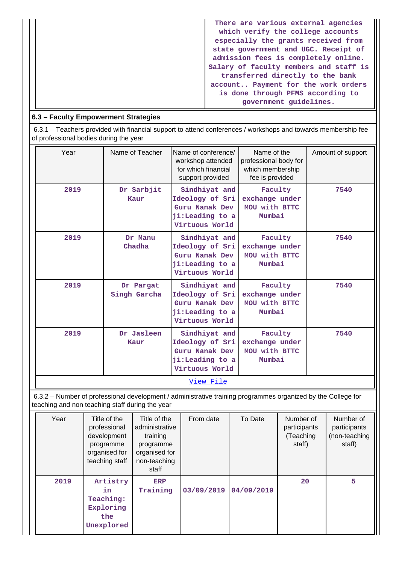**There are various external agencies which verify the college accounts especially the grants received from state government and UGC. Receipt of admission fees is completely online. Salary of faculty members and staff is transferred directly to the bank account.. Payment for the work orders is done through PFMS according to government guidelines.**

# **6.3 – Faculty Empowerment Strategies**

 6.3.1 – Teachers provided with financial support to attend conferences / workshops and towards membership fee of professional bodies during the year

| Year                                                                                                                                                            | Name of Teacher           | Name of conference/<br>workshop attended<br>for which financial<br>support provided     | Name of the<br>professional body for<br>which membership<br>fee is provided | Amount of support |  |
|-----------------------------------------------------------------------------------------------------------------------------------------------------------------|---------------------------|-----------------------------------------------------------------------------------------|-----------------------------------------------------------------------------|-------------------|--|
| 2019                                                                                                                                                            | Dr Sarbjit<br>Kaur        | Sindhiyat and<br>Ideology of Sri<br>Guru Nanak Dev<br>ji:Leading to a<br>Virtuous World | Faculty<br>exchange under<br>MOU with BTTC<br>Mumbai                        | 7540              |  |
| 2019                                                                                                                                                            | Dr Manu<br>Chadha         | Sindhiyat and<br>Ideology of Sri<br>Guru Nanak Dev<br>ji:Leading to a<br>Virtuous World | Faculty<br>exchange under<br>MOU with BTTC<br>Mumbai                        | 7540              |  |
| 2019                                                                                                                                                            | Dr Pargat<br>Singh Garcha | Sindhivat and<br>Ideology of Sri<br>Guru Nanak Dev<br>ji:Leading to a<br>Virtuous World | Faculty<br>exchange under<br>MOU with BTTC<br>Mumbai                        | 7540              |  |
| 2019                                                                                                                                                            | Dr Jasleen<br>Kaur        | Sindhiyat and<br>Ideology of Sri<br>Guru Nanak Dev<br>ji:Leading to a<br>Virtuous World | Faculty<br>exchange under<br>MOU with BTTC<br>Mumbai                        | 7540              |  |
| View File                                                                                                                                                       |                           |                                                                                         |                                                                             |                   |  |
| 6.3.2 - Number of professional development / administrative training programmes organized by the College for<br>teaching and non teaching staff during the year |                           |                                                                                         |                                                                             |                   |  |

| Year | Title of the<br>professional<br>development<br>programme<br>organised for<br>teaching staff | Title of the<br>administrative<br>training<br>programme<br>organised for<br>non-teaching<br>staff | From date  | To Date    | Number of<br>participants<br>(Teaching<br>staff) | Number of<br>participants<br>(non-teaching<br>staff) |
|------|---------------------------------------------------------------------------------------------|---------------------------------------------------------------------------------------------------|------------|------------|--------------------------------------------------|------------------------------------------------------|
| 2019 | Artistry<br>in.<br>Teaching:<br>Exploring<br>the<br>Unexplored                              | <b>ERP</b><br>Training                                                                            | 03/09/2019 | 04/09/2019 | 20                                               | 5                                                    |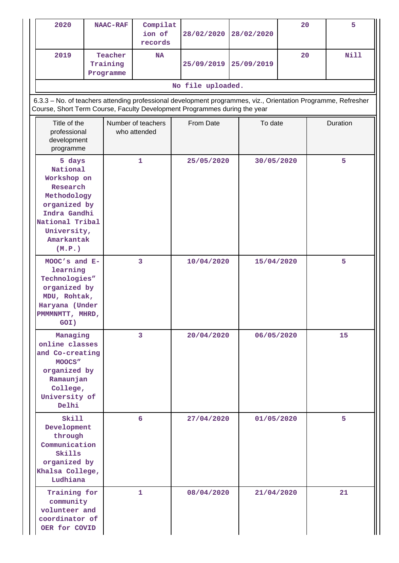| 2020                                                                                                                                                                                       | <b>NAAC-RAF</b>                  | Compilat<br>ion of<br>records      | 28/02/2020        | 28/02/2020 |            | 20 | 5        |  |   |
|--------------------------------------------------------------------------------------------------------------------------------------------------------------------------------------------|----------------------------------|------------------------------------|-------------------|------------|------------|----|----------|--|---|
| 2019                                                                                                                                                                                       | Teacher<br>Training<br>Programme | <b>NA</b>                          | 25/09/2019        | 25/09/2019 |            | 20 | Nill     |  |   |
|                                                                                                                                                                                            |                                  |                                    | No file uploaded. |            |            |    |          |  |   |
| 6.3.3 - No. of teachers attending professional development programmes, viz., Orientation Programme, Refresher<br>Course, Short Term Course, Faculty Development Programmes during the year |                                  |                                    |                   |            |            |    |          |  |   |
| Title of the<br>professional<br>development<br>programme                                                                                                                                   |                                  | Number of teachers<br>who attended | From Date         |            | To date    |    | Duration |  |   |
| 5 days<br>National<br>Workshop on<br>Research<br>Methodology<br>organized by<br>Indra Gandhi<br>National Tribal<br>University,<br>Amarkantak<br>(M.P.)                                     |                                  | 1                                  | 25/05/2020        |            | 30/05/2020 |    |          |  | 5 |
| MOOC's and E-<br>learning<br>Technologies"<br>organized by<br>MDU, Rohtak,<br>Haryana (Under<br>PMMMMTT, MHRD,<br>GOI)                                                                     |                                  | $\overline{\mathbf{3}}$            | 10/04/2020        |            | 15/04/2020 |    | 5        |  |   |
| Managing<br>online classes<br>and Co-creating<br>MOOCS"<br>organized by<br>Ramaunjan<br>College,<br>University of<br>Delhi                                                                 |                                  | 3                                  | 20/04/2020        |            | 06/05/2020 |    | 15       |  |   |
| Skill<br>Development<br>through<br>Communication<br>Skills<br>organized by<br>Khalsa College,<br>Ludhiana                                                                                  |                                  | 6                                  | 27/04/2020        |            | 01/05/2020 |    | 5        |  |   |
| Training for<br>community<br>volunteer and<br>coordinator of<br>OER for COVID                                                                                                              |                                  | 1                                  | 08/04/2020        |            | 21/04/2020 |    | 21       |  |   |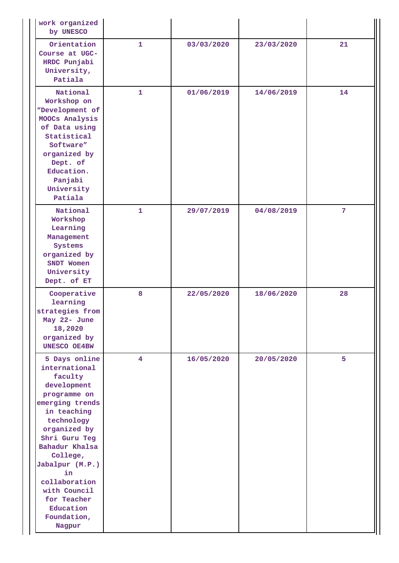| work organized<br>by UNESCO                                                                                                                                                                                                                                                                            |              |            |            |             |
|--------------------------------------------------------------------------------------------------------------------------------------------------------------------------------------------------------------------------------------------------------------------------------------------------------|--------------|------------|------------|-------------|
| Orientation<br>Course at UGC-<br>HRDC Punjabi<br>University,<br>Patiala                                                                                                                                                                                                                                | $\mathbf{1}$ | 03/03/2020 | 23/03/2020 | 21          |
| National<br>Workshop on<br>"Development of<br>MOOCs Analysis<br>of Data using<br>Statistical<br>Software"<br>organized by<br>Dept. of<br>Education.<br>Panjabi<br>University<br>Patiala                                                                                                                | $\mathbf{1}$ | 01/06/2019 | 14/06/2019 | 14          |
| National<br>Workshop<br>Learning<br>Management<br>Systems<br>organized by<br>SNDT Women<br>University<br>Dept. of ET                                                                                                                                                                                   | $\mathbf{1}$ | 29/07/2019 | 04/08/2019 | $7^{\circ}$ |
| Cooperative<br>learning<br>strategies from<br>May 22- June<br>18,2020<br>organized by<br><b>UNESCO OE4BW</b>                                                                                                                                                                                           | 8            | 22/05/2020 | 18/06/2020 | 28          |
| 5 Days online<br>international<br>faculty<br>development<br>programme on<br>emerging trends<br>in teaching<br>technology<br>organized by<br>Shri Guru Teg<br>Bahadur Khalsa<br>College,<br>Jabalpur (M.P.)<br>in<br>collaboration<br>with Council<br>for Teacher<br>Education<br>Foundation,<br>Nagpur | 4            | 16/05/2020 | 20/05/2020 | 5           |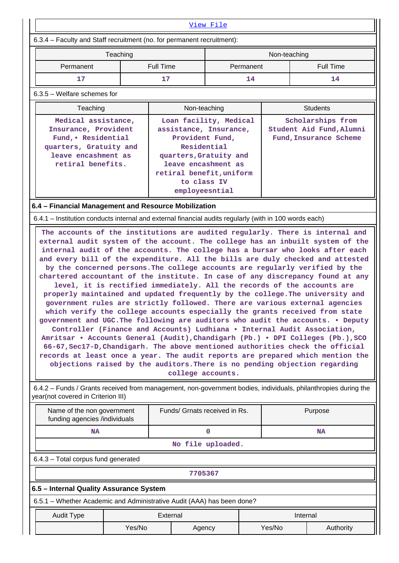| View File                                                                                                                                            |                                                                                                                                                                                                                                                                                                                                                                                                                                                                                                                                                                                                                                                                                                                                                                                                                                                                                                                                                                                                                                                                                                                                                                                                                                                                                                                                                         |                                                                                                                                                                                                  |                 |              |                                                                         |  |  |  |  |
|------------------------------------------------------------------------------------------------------------------------------------------------------|---------------------------------------------------------------------------------------------------------------------------------------------------------------------------------------------------------------------------------------------------------------------------------------------------------------------------------------------------------------------------------------------------------------------------------------------------------------------------------------------------------------------------------------------------------------------------------------------------------------------------------------------------------------------------------------------------------------------------------------------------------------------------------------------------------------------------------------------------------------------------------------------------------------------------------------------------------------------------------------------------------------------------------------------------------------------------------------------------------------------------------------------------------------------------------------------------------------------------------------------------------------------------------------------------------------------------------------------------------|--------------------------------------------------------------------------------------------------------------------------------------------------------------------------------------------------|-----------------|--------------|-------------------------------------------------------------------------|--|--|--|--|
| 6.3.4 - Faculty and Staff recruitment (no. for permanent recruitment):                                                                               |                                                                                                                                                                                                                                                                                                                                                                                                                                                                                                                                                                                                                                                                                                                                                                                                                                                                                                                                                                                                                                                                                                                                                                                                                                                                                                                                                         |                                                                                                                                                                                                  |                 |              |                                                                         |  |  |  |  |
| Teaching                                                                                                                                             |                                                                                                                                                                                                                                                                                                                                                                                                                                                                                                                                                                                                                                                                                                                                                                                                                                                                                                                                                                                                                                                                                                                                                                                                                                                                                                                                                         |                                                                                                                                                                                                  |                 | Non-teaching |                                                                         |  |  |  |  |
| Permanent                                                                                                                                            | <b>Full Time</b>                                                                                                                                                                                                                                                                                                                                                                                                                                                                                                                                                                                                                                                                                                                                                                                                                                                                                                                                                                                                                                                                                                                                                                                                                                                                                                                                        |                                                                                                                                                                                                  | Permanent       |              | <b>Full Time</b>                                                        |  |  |  |  |
| 17                                                                                                                                                   | 17                                                                                                                                                                                                                                                                                                                                                                                                                                                                                                                                                                                                                                                                                                                                                                                                                                                                                                                                                                                                                                                                                                                                                                                                                                                                                                                                                      |                                                                                                                                                                                                  | 14              |              | 14                                                                      |  |  |  |  |
| 6.3.5 - Welfare schemes for                                                                                                                          |                                                                                                                                                                                                                                                                                                                                                                                                                                                                                                                                                                                                                                                                                                                                                                                                                                                                                                                                                                                                                                                                                                                                                                                                                                                                                                                                                         |                                                                                                                                                                                                  |                 |              |                                                                         |  |  |  |  |
| Teaching                                                                                                                                             |                                                                                                                                                                                                                                                                                                                                                                                                                                                                                                                                                                                                                                                                                                                                                                                                                                                                                                                                                                                                                                                                                                                                                                                                                                                                                                                                                         | Non-teaching                                                                                                                                                                                     | <b>Students</b> |              |                                                                         |  |  |  |  |
| Medical assistance,<br>Insurance, Provident<br>Fund, · Residential<br>quarters, Gratuity and<br>leave encashment as<br>retiral benefits.             |                                                                                                                                                                                                                                                                                                                                                                                                                                                                                                                                                                                                                                                                                                                                                                                                                                                                                                                                                                                                                                                                                                                                                                                                                                                                                                                                                         | Loan facility, Medical<br>assistance, Insurance,<br>Provident Fund,<br>Residential<br>quarters, Gratuity and<br>leave encashment as<br>retiral benefit, uniform<br>to class IV<br>employeesntial |                 |              | Scholarships from<br>Student Aid Fund, Alumni<br>Fund, Insurance Scheme |  |  |  |  |
| 6.4 - Financial Management and Resource Mobilization                                                                                                 |                                                                                                                                                                                                                                                                                                                                                                                                                                                                                                                                                                                                                                                                                                                                                                                                                                                                                                                                                                                                                                                                                                                                                                                                                                                                                                                                                         |                                                                                                                                                                                                  |                 |              |                                                                         |  |  |  |  |
| 6.4.1 – Institution conducts internal and external financial audits regularly (with in 100 words each)                                               |                                                                                                                                                                                                                                                                                                                                                                                                                                                                                                                                                                                                                                                                                                                                                                                                                                                                                                                                                                                                                                                                                                                                                                                                                                                                                                                                                         |                                                                                                                                                                                                  |                 |              |                                                                         |  |  |  |  |
|                                                                                                                                                      | The accounts of the institutions are audited regularly. There is internal and<br>external audit system of the account. The college has an inbuilt system of the<br>internal audit of the accounts. The college has a bursar who looks after each<br>and every bill of the expenditure. All the bills are duly checked and attested<br>by the concerned persons. The college accounts are regularly verified by the<br>chartered accountant of the institute. In case of any discrepancy found at any<br>level, it is rectified immediately. All the records of the accounts are<br>properly maintained and updated frequently by the college. The university and<br>government rules are strictly followed. There are various external agencies<br>which verify the college accounts especially the grants received from state<br>government and UGC. The following are auditors who audit the accounts. . Deputy<br>Controller (Finance and Accounts) Ludhiana . Internal Audit Association,<br>Amritsar • Accounts General (Audit), Chandigarh (Pb.) • DPI Colleges (Pb.), SCO<br>66-67, Sec17-D, Chandigarh. The above mentioned authorities check the official<br>records at least once a year. The audit reports are prepared which mention the<br>objections raised by the auditors. There is no pending objection regarding<br>college accounts. |                                                                                                                                                                                                  |                 |              |                                                                         |  |  |  |  |
| 6.4.2 - Funds / Grants received from management, non-government bodies, individuals, philanthropies during the<br>year(not covered in Criterion III) |                                                                                                                                                                                                                                                                                                                                                                                                                                                                                                                                                                                                                                                                                                                                                                                                                                                                                                                                                                                                                                                                                                                                                                                                                                                                                                                                                         |                                                                                                                                                                                                  |                 |              |                                                                         |  |  |  |  |
| Name of the non government<br>funding agencies /individuals                                                                                          |                                                                                                                                                                                                                                                                                                                                                                                                                                                                                                                                                                                                                                                                                                                                                                                                                                                                                                                                                                                                                                                                                                                                                                                                                                                                                                                                                         | Funds/ Grnats received in Rs.                                                                                                                                                                    |                 |              | Purpose                                                                 |  |  |  |  |
| <b>NA</b>                                                                                                                                            |                                                                                                                                                                                                                                                                                                                                                                                                                                                                                                                                                                                                                                                                                                                                                                                                                                                                                                                                                                                                                                                                                                                                                                                                                                                                                                                                                         | $\mathbf 0$                                                                                                                                                                                      |                 |              | <b>NA</b>                                                               |  |  |  |  |
|                                                                                                                                                      |                                                                                                                                                                                                                                                                                                                                                                                                                                                                                                                                                                                                                                                                                                                                                                                                                                                                                                                                                                                                                                                                                                                                                                                                                                                                                                                                                         | No file uploaded.                                                                                                                                                                                |                 |              |                                                                         |  |  |  |  |
| 6.4.3 - Total corpus fund generated                                                                                                                  |                                                                                                                                                                                                                                                                                                                                                                                                                                                                                                                                                                                                                                                                                                                                                                                                                                                                                                                                                                                                                                                                                                                                                                                                                                                                                                                                                         |                                                                                                                                                                                                  |                 |              |                                                                         |  |  |  |  |
|                                                                                                                                                      |                                                                                                                                                                                                                                                                                                                                                                                                                                                                                                                                                                                                                                                                                                                                                                                                                                                                                                                                                                                                                                                                                                                                                                                                                                                                                                                                                         | 7705367                                                                                                                                                                                          |                 |              |                                                                         |  |  |  |  |
| 6.5 - Internal Quality Assurance System                                                                                                              |                                                                                                                                                                                                                                                                                                                                                                                                                                                                                                                                                                                                                                                                                                                                                                                                                                                                                                                                                                                                                                                                                                                                                                                                                                                                                                                                                         |                                                                                                                                                                                                  |                 |              |                                                                         |  |  |  |  |
| 6.5.1 - Whether Academic and Administrative Audit (AAA) has been done?                                                                               |                                                                                                                                                                                                                                                                                                                                                                                                                                                                                                                                                                                                                                                                                                                                                                                                                                                                                                                                                                                                                                                                                                                                                                                                                                                                                                                                                         |                                                                                                                                                                                                  |                 |              |                                                                         |  |  |  |  |
| <b>Audit Type</b>                                                                                                                                    | External                                                                                                                                                                                                                                                                                                                                                                                                                                                                                                                                                                                                                                                                                                                                                                                                                                                                                                                                                                                                                                                                                                                                                                                                                                                                                                                                                |                                                                                                                                                                                                  |                 |              | Internal                                                                |  |  |  |  |
|                                                                                                                                                      | Yes/No                                                                                                                                                                                                                                                                                                                                                                                                                                                                                                                                                                                                                                                                                                                                                                                                                                                                                                                                                                                                                                                                                                                                                                                                                                                                                                                                                  | Agency                                                                                                                                                                                           |                 | Yes/No       | Authority                                                               |  |  |  |  |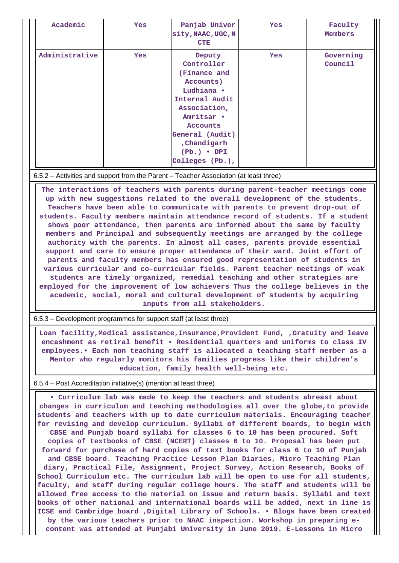| Academic       | Yes        | Panjab Univer<br>sity, NAAC, UGC, N<br><b>CTE</b>                                                                                                                                                        | <b>Yes</b> | Faculty<br>Members   |
|----------------|------------|----------------------------------------------------------------------------------------------------------------------------------------------------------------------------------------------------------|------------|----------------------|
| Administrative | <b>Yes</b> | Deputy<br>Controller<br>(Finance and<br>Accounts)<br>Ludhiana .<br>Internal Audit<br>Association,<br>Amritsar .<br>Accounts<br>General (Audit)<br>, Chandigarh<br>$(Pb.) \bullet DPI$<br>Colleges (Pb.), | Yes        | Governing<br>Council |

#### 6.5.2 – Activities and support from the Parent – Teacher Association (at least three)

 **The interactions of teachers with parents during parent-teacher meetings come up with new suggestions related to the overall development of the students. Teachers have been able to communicate with parents to prevent drop-out of students. Faculty members maintain attendance record of students. If a student shows poor attendance, then parents are informed about the same by faculty members and Principal and subsequently meetings are arranged by the college authority with the parents. In almost all cases, parents provide essential support and care to ensure proper attendance of their ward. Joint effort of parents and faculty members has ensured good representation of students in various curricular and co-curricular fields. Parent teacher meetings of weak students are timely organized, remedial teaching and other strategies are employed for the improvement of low achievers Thus the college believes in the academic, social, moral and cultural development of students by acquiring inputs from all stakeholders.**

6.5.3 – Development programmes for support staff (at least three)

 **Loan facility,Medical assistance,Insurance,Provident Fund, ,Gratuity and leave encashment as retiral benefit • Residential quarters and uniforms to class IV employees.• Each non teaching staff is allocated a teaching staff member as a Mentor who regularly monitors his families progress like their children's education, family health well-being etc.**

### 6.5.4 – Post Accreditation initiative(s) (mention at least three)

 **• Curriculum lab was made to keep the teachers and students abreast about changes in curriculum and teaching methodologies all over the globe,to provide students and teachers with up to date curriculum materials. Encouraging teacher for revising and develop curriculum. Syllabi of different boards, to begin with CBSE and Punjab board syllabi for classes 6 to 10 has been procured. Soft copies of textbooks of CBSE (NCERT) classes 6 to 10. Proposal has been put forward for purchase of hard copies of text books for class 6 to 10 of Punjab and CBSE board. Teaching Practice Lesson Plan Diaries, Micro Teaching Plan diary, Practical File, Assignment, Project Survey, Action Research, Books of School Curriculum etc. The curriculum lab will be open to use for all students, faculty, and staff during regular college hours. The staff and students will be allowed free access to the material on issue and return basis. Syllabi and text books of other national and international boards will be added, next in line is ICSE and Cambridge board ,Digital Library of Schools. • Blogs have been created by the various teachers prior to NAAC inspection. Workshop in preparing econtent was attended at Punjabi University in June 2019. E-Lessons in Micro**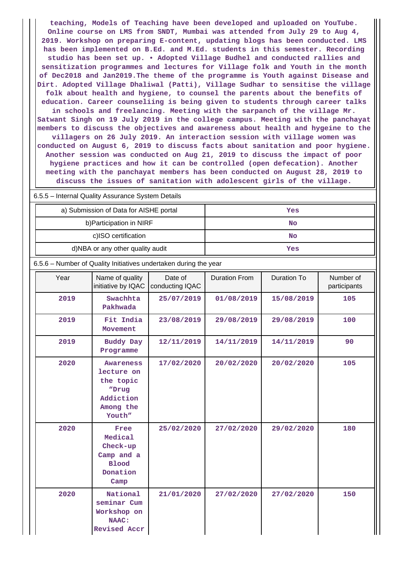**teaching, Models of Teaching have been developed and uploaded on YouTube. Online course on LMS from SNDT, Mumbai was attended from July 29 to Aug 4, 2019. Workshop on preparing E-content, updating blogs has been conducted. LMS has been implemented on B.Ed. and M.Ed. students in this semester. Recording studio has been set up. • Adopted Village Budhel and conducted rallies and sensitization programmes and lectures for Village folk and Youth in the month of Dec2018 and Jan2019.The theme of the programme is Youth against Disease and Dirt. Adopted Village Dhaliwal (Patti), Village Sudhar to sensitise the village folk about health and hygiene, to counsel the parents about the benefits of education. Career counseliing is being given to students through career talks in schools and freelancing. Meeting with the sarpanch of the village Mr. Satwant Singh on 19 July 2019 in the college campus. Meeting with the panchayat members to discuss the objectives and awareness about health and hygeine to the villagers on 26 July 2019. An interaction session with village women was conducted on August 6, 2019 to discuss facts about sanitation and poor hygiene. Another session was conducted on Aug 21, 2019 to discuss the impact of poor hygiene practices and how it can be controlled (open defecation). Another meeting with the panchayat members has been conducted on August 28, 2019 to discuss the issues of sanitation with adolescent girls of the village.**

| <i>,</i> |                                                                                          |                            |                      |                    |                           |  |  |  |  |
|----------|------------------------------------------------------------------------------------------|----------------------------|----------------------|--------------------|---------------------------|--|--|--|--|
|          | a) Submission of Data for AISHE portal                                                   |                            | <b>Yes</b>           |                    |                           |  |  |  |  |
|          | b) Participation in NIRF                                                                 |                            | <b>No</b>            |                    |                           |  |  |  |  |
|          | c)ISO certification                                                                      |                            |                      | <b>No</b>          |                           |  |  |  |  |
|          | d)NBA or any other quality audit                                                         |                            |                      | Yes                |                           |  |  |  |  |
|          | 6.5.6 - Number of Quality Initiatives undertaken during the year                         |                            |                      |                    |                           |  |  |  |  |
| Year     | Name of quality<br>initiative by IQAC                                                    | Date of<br>conducting IQAC | <b>Duration From</b> | <b>Duration To</b> | Number of<br>participants |  |  |  |  |
| 2019     | Swachhta<br>Pakhwada                                                                     | 25/07/2019                 | 01/08/2019           | 15/08/2019         | 105                       |  |  |  |  |
| 2019     | Fit India<br>Movement                                                                    | 23/08/2019                 | 29/08/2019           | 29/08/2019         | 100                       |  |  |  |  |
| 2019     | <b>Buddy Day</b><br>Programme                                                            | 12/11/2019                 | 14/11/2019           | 14/11/2019         | 90                        |  |  |  |  |
| 2020     | <b>Awareness</b><br>lecture on<br>the topic<br>"Drug<br>Addiction<br>Among the<br>Youth" | 17/02/2020                 | 20/02/2020           | 20/02/2020         | 105                       |  |  |  |  |
| 2020     | Free<br>Medical<br>Check-up<br>Camp and a<br><b>Blood</b><br>Donation<br>Camp            | 25/02/2020                 | 27/02/2020           | 29/02/2020         | 180                       |  |  |  |  |
| 2020     | National<br>seminar Cum<br>Workshop on<br><b>NAAC:</b><br><b>Revised Accr</b>            | 21/01/2020                 | 27/02/2020           | 27/02/2020         | 150                       |  |  |  |  |

6.5.5 – Internal Quality Assurance System Details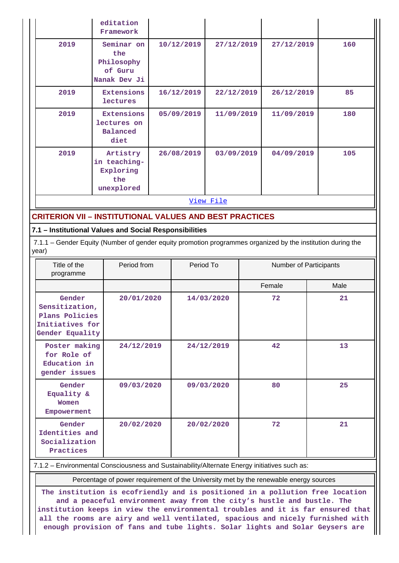|                                                                                                                      | editation<br>Framework                                      |  |            |            |  |                        |      |
|----------------------------------------------------------------------------------------------------------------------|-------------------------------------------------------------|--|------------|------------|--|------------------------|------|
| 2019                                                                                                                 | Seminar on<br>the<br>Philosophy<br>of Guru<br>Nanak Dev Ji  |  | 10/12/2019 | 27/12/2019 |  | 27/12/2019             | 160  |
| 2019                                                                                                                 | Extensions<br>lectures                                      |  | 16/12/2019 | 22/12/2019 |  | 26/12/2019             | 85   |
| 2019                                                                                                                 | <b>Extensions</b><br>lectures on<br><b>Balanced</b><br>diet |  | 05/09/2019 | 11/09/2019 |  | 11/09/2019             | 180  |
| 2019                                                                                                                 | Artistry<br>in teaching-<br>Exploring<br>the<br>unexplored  |  | 26/08/2019 | 03/09/2019 |  | 04/09/2019             | 105  |
|                                                                                                                      |                                                             |  |            | View File  |  |                        |      |
| <b>CRITERION VII - INSTITUTIONAL VALUES AND BEST PRACTICES</b>                                                       |                                                             |  |            |            |  |                        |      |
| 7.1 - Institutional Values and Social Responsibilities                                                               |                                                             |  |            |            |  |                        |      |
| 7.1.1 - Gender Equity (Number of gender equity promotion programmes organized by the institution during the<br>year) |                                                             |  |            |            |  |                        |      |
| Title of the<br>programme                                                                                            | Period from                                                 |  | Period To  |            |  | Number of Participants |      |
|                                                                                                                      |                                                             |  |            |            |  | Female                 | Male |
| Gender<br>Sensitization,<br>Plans Policies<br>Initiatives for<br>Gender Equality                                     | 20/01/2020                                                  |  |            | 14/03/2020 |  | 72                     | 21   |
| Poster making<br>24/12/2019<br>for Role of<br>Education in<br>gender issues                                          |                                                             |  |            | 24/12/2019 |  | 42                     | 13   |
| Gender<br>Equality &<br>Women<br>Empowerment                                                                         | 09/03/2020                                                  |  |            | 09/03/2020 |  | 80                     | 25   |
| Gender<br>Identities and<br>Socialization<br>Practices                                                               | 20/02/2020                                                  |  |            | 20/02/2020 |  | 72                     | 21   |
| 7.1.2 - Environmental Consciousness and Sustainability/Alternate Energy initiatives such as:                         |                                                             |  |            |            |  |                        |      |

Percentage of power requirement of the University met by the renewable energy sources

**The institution is ecofriendly and is positioned in a pollution free location and a peaceful environment away from the city's hustle and bustle. The institution keeps in view the environmental troubles and it is far ensured that all the rooms are airy and well ventilated, spacious and nicely furnished with enough provision of fans and tube lights. Solar lights and Solar Geysers are**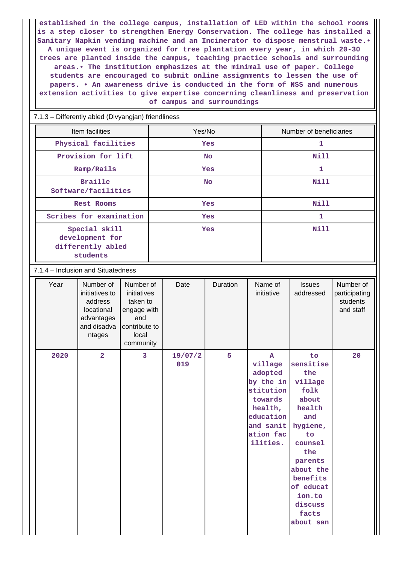**established in the college campus, installation of LED within the school rooms is a step closer to strengthen Energy Conservation. The college has installed a Sanitary Napkin vending machine and an Incinerator to dispose menstrual waste.• A unique event is organized for tree plantation every year, in which 20-30 trees are planted inside the campus, teaching practice schools and surrounding areas.• The institution emphasizes at the minimal use of paper. College students are encouraged to submit online assignments to lessen the use of papers. • An awareness drive is conducted in the form of NSS and numerous extension activities to give expertise concerning cleanliness and preservation of campus and surroundings**

7.1.3 – Differently abled (Divyangjan) friendliness

| Item facilities                                                   | Yes/No     | Number of beneficiaries |
|-------------------------------------------------------------------|------------|-------------------------|
| Physical facilities                                               | <b>Yes</b> | 1                       |
| Provision for lift                                                | <b>No</b>  | Nill                    |
| Ramp/Rails                                                        | <b>Yes</b> | 1                       |
| <b>Braille</b><br>Software/facilities                             | <b>No</b>  | <b>Nill</b>             |
| Rest Rooms                                                        | <b>Yes</b> | Nill                    |
| Scribes for examination                                           | <b>Yes</b> | 1                       |
| Special skill<br>development for<br>differently abled<br>students | <b>Yes</b> | Nill                    |

### 7.1.4 – Inclusion and Situatedness

| Year | Number of<br>initiatives to<br>address<br>locational<br>advantages<br>and disadva<br>ntages | Number of<br>initiatives<br>taken to<br>engage with<br>and<br>contribute to<br>local<br>community | Date           | Duration | Name of<br>initiative                                                                                                                 | <b>Issues</b><br>addressed                                                                                                                                                                          | Number of<br>participating<br>students<br>and staff |
|------|---------------------------------------------------------------------------------------------|---------------------------------------------------------------------------------------------------|----------------|----------|---------------------------------------------------------------------------------------------------------------------------------------|-----------------------------------------------------------------------------------------------------------------------------------------------------------------------------------------------------|-----------------------------------------------------|
| 2020 | $\overline{2}$                                                                              | 3                                                                                                 | 19/07/2<br>019 | 5        | $\mathbf{A}$<br>village<br>adopted<br>by the in<br>stitution<br>towards<br>health,<br>education<br>and sanit<br>ation fac<br>ilities. | to<br>sensitise<br>the<br>village<br>folk<br>about<br>health<br>and<br>hygiene,<br>to<br>counsel<br>the<br>parents<br>about the<br>benefits<br>of educat<br>ion.to<br>discuss<br>facts<br>about san | 20                                                  |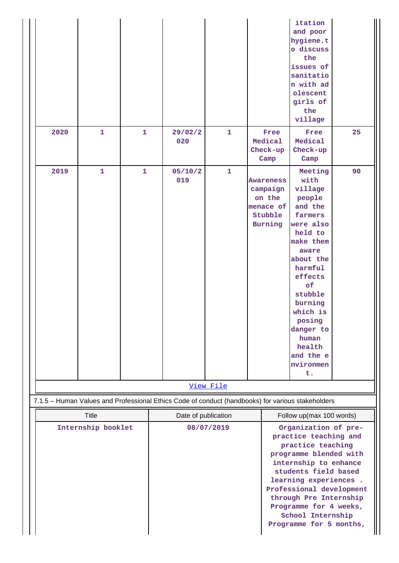| 2020                               | $\mathbf{1}$ | 1 | 29/02/2<br>020                                                                                    | $\mathbf{1}$ | Free<br>Medical                                                                  | itation<br>and poor<br>hygiene.t<br>o discuss<br>the<br>issues of<br>sanitatio<br>n with ad<br>olescent<br>girls of<br>the<br>village<br>Free<br>Medical                                                                                                                                                                           | 25 |
|------------------------------------|--------------|---|---------------------------------------------------------------------------------------------------|--------------|----------------------------------------------------------------------------------|------------------------------------------------------------------------------------------------------------------------------------------------------------------------------------------------------------------------------------------------------------------------------------------------------------------------------------|----|
|                                    |              |   |                                                                                                   |              | Check-up<br>Camp                                                                 | Check-up<br>Camp                                                                                                                                                                                                                                                                                                                   |    |
| 2019                               | $\mathbf{1}$ | 1 | 05/10/2<br>019                                                                                    | $\mathbf{1}$ | <b>Awareness</b><br>campaign<br>on the<br>menace of<br>Stubble<br><b>Burning</b> | Meeting<br>with<br>village<br>people<br>and the<br>farmers<br>were also<br>held to<br>make them<br>aware<br>about the<br>harmful<br>effects<br>of<br>stubble<br>burning<br>which is<br>posing<br>danger to<br>human<br>health<br>and the e<br>nvironmen<br>t.                                                                      | 90 |
|                                    |              |   |                                                                                                   | View File    |                                                                                  |                                                                                                                                                                                                                                                                                                                                    |    |
|                                    |              |   | 7.1.5 - Human Values and Professional Ethics Code of conduct (handbooks) for various stakeholders |              |                                                                                  |                                                                                                                                                                                                                                                                                                                                    |    |
| <b>Title</b><br>Internship booklet |              |   | Date of publication                                                                               | 08/07/2019   |                                                                                  | Follow up(max 100 words)<br>Organization of pre-<br>practice teaching and<br>practice teaching<br>programme blended with<br>internship to enhance<br>students field based<br>learning experiences.<br>Professional development<br>through Pre Internship<br>Programme for 4 weeks,<br>School Internship<br>Programme for 5 months, |    |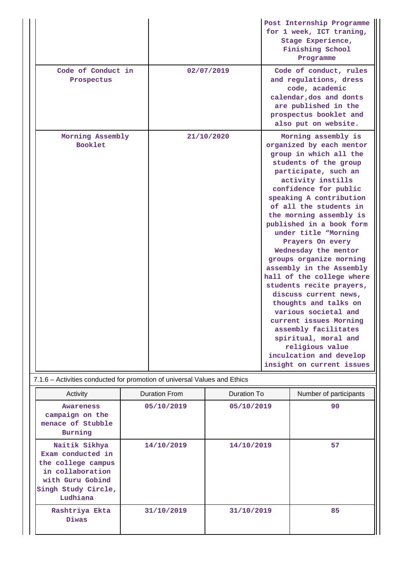|                                                  | Post Internship Programme<br>for 1 week, ICT traning,<br>Stage Experience,<br>Finishing School<br>Programme                                                                                                                                                                                                                                                                                                                                                                                                                                                                                                                                                                                             |
|--------------------------------------------------|---------------------------------------------------------------------------------------------------------------------------------------------------------------------------------------------------------------------------------------------------------------------------------------------------------------------------------------------------------------------------------------------------------------------------------------------------------------------------------------------------------------------------------------------------------------------------------------------------------------------------------------------------------------------------------------------------------|
| Code of Conduct in<br>02/07/2019<br>Prospectus   | Code of conduct, rules<br>and regulations, dress<br>code, academic<br>calendar, dos and donts<br>are published in the<br>prospectus booklet and<br>also put on website.                                                                                                                                                                                                                                                                                                                                                                                                                                                                                                                                 |
| Morning Assembly<br>21/10/2020<br><b>Booklet</b> | Morning assembly is<br>organized by each mentor<br>group in which all the<br>students of the group<br>participate, such an<br>activity instills<br>confidence for public<br>speaking A contribution<br>of all the students in<br>the morning assembly is<br>published in a book form<br>under title "Morning<br>Prayers On every<br>Wednesday the mentor<br>groups organize morning<br>assembly in the Assembly<br>hall of the college where<br>students recite prayers,<br>discuss current news,<br>thoughts and talks on<br>various societal and<br>current issues Morning<br>assembly facilitates<br>spiritual, moral and<br>religious value<br>inculcation and develop<br>insight on current issues |

### 7.1.6 – Activities conducted for promotion of universal Values and Ethics

| Activity                                                                                                                            | <b>Duration From</b> | Duration To | Number of participants |
|-------------------------------------------------------------------------------------------------------------------------------------|----------------------|-------------|------------------------|
| <b>Awareness</b><br>campaign on the<br>menace of Stubble<br>Burning                                                                 | 05/10/2019           | 05/10/2019  | 90                     |
| Naitik Sikhya<br>Exam conducted in<br>the college campus<br>in collaboration<br>with Guru Gobind<br>Singh Study Circle,<br>Ludhiana | 14/10/2019           | 14/10/2019  | 57                     |
| Rashtriya Ekta<br><b>Diwas</b>                                                                                                      | 31/10/2019           | 31/10/2019  | 85                     |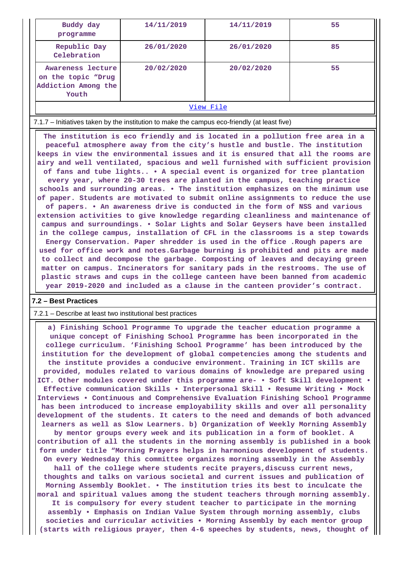| Buddy day<br>programme                                                  | 14/11/2019 | 14/11/2019 | 55 |
|-------------------------------------------------------------------------|------------|------------|----|
| Republic Day<br>Celebration                                             | 26/01/2020 | 26/01/2020 | 85 |
| Awareness lecture<br>on the topic "Drug<br>Addiction Among the<br>Youth | 20/02/2020 | 20/02/2020 | 55 |
| View File                                                               |            |            |    |

7.1.7 – Initiatives taken by the institution to make the campus eco-friendly (at least five)

 **The institution is eco friendly and is located in a pollution free area in a peaceful atmosphere away from the city's hustle and bustle. The institution keeps in view the environmental issues and it is ensured that all the rooms are airy and well ventilated, spacious and well furnished with sufficient provision of fans and tube lights.. • A special event is organized for tree plantation every year, where 20-30 trees are planted in the campus, teaching practice schools and surrounding areas. • The institution emphasizes on the minimum use of paper. Students are motivated to submit online assignments to reduce the use of papers. • An awareness drive is conducted in the form of NSS and various extension activities to give knowledge regarding cleanliness and maintenance of campus and surroundings. • Solar Lights and Solar Geysers have been installed in the college campus, installation of CFL in the classrooms is a step towards Energy Conservation. Paper shredder is used in the office .Rough papers are used for office work and notes.Garbage burning is prohibited and pits are made to collect and decompose the garbage. Composting of leaves and decaying green matter on campus. Incinerators for sanitary pads in the restrooms. The use of plastic straws and cups in the college canteen have been banned from academic year 2019-2020 and included as a clause in the canteen provider's contract.**

### **7.2 – Best Practices**

#### 7.2.1 – Describe at least two institutional best practices

 **a) Finishing School Programme To upgrade the teacher education programme a unique concept of Finishing School Programme has been incorporated in the college curriculum. 'Finishing School Programme' has been introduced by the institution for the development of global competencies among the students and the institute provides a conducive environment. Training in ICT skills are provided, modules related to various domains of knowledge are prepared using ICT. Other modules covered under this programme are- • Soft Skill development • Effective communication Skills • Interpersonal Skill • Resume Writing • Mock Interviews • Continuous and Comprehensive Evaluation Finishing School Programme has been introduced to increase employability skills and over all personality development of the students. It caters to the need and demands of both advanced learners as well as Slow Learners. b) Organization of Weekly Morning Assembly by mentor groups every week and its publication in a form of booklet. A contribution of all the students in the morning assembly is published in a book form under title "Morning Prayers helps in harmonious development of students. On every Wednesday this committee organizes morning assembly in the Assembly hall of the college where students recite prayers,discuss current news, thoughts and talks on various societal and current issues and publication of Morning Assembly Booklet. • The institution tries its best to inculcate the moral and spiritual values among the student teachers through morning assembly. It is compulsory for every student teacher to participate in the morning assembly • Emphasis on Indian Value System through morning assembly, clubs societies and curricular activities • Morning Assembly by each mentor group (starts with religious prayer, then 4-6 speeches by students, news, thought of**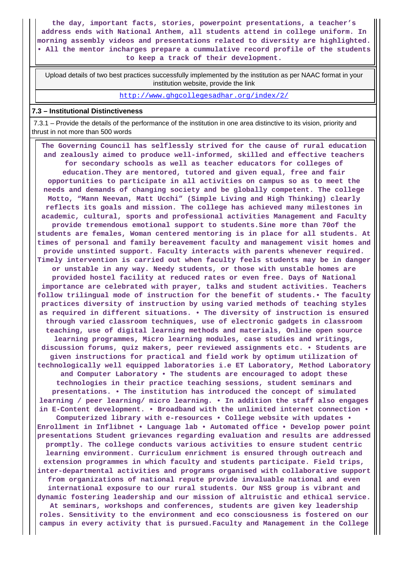**the day, important facts, stories, powerpoint presentations, a teacher's address ends with National Anthem, all students attend in college uniform. In morning assembly videos and presentations related to diversity are highlighted. • All the mentor incharges prepare a cummulative record profile of the students to keep a track of their development.**

 Upload details of two best practices successfully implemented by the institution as per NAAC format in your institution website, provide the link

<http://www.ghgcollegesadhar.org/index/2/>

#### **7.3 – Institutional Distinctiveness**

 7.3.1 – Provide the details of the performance of the institution in one area distinctive to its vision, priority and thrust in not more than 500 words

 **The Governing Council has selflessly strived for the cause of rural education and zealously aimed to produce well-informed, skilled and effective teachers for secondary schools as well as teacher educators for colleges of education.They are mentored, tutored and given equal, free and fair opportunities to participate in all activities on campus so as to meet the needs and demands of changing society and be globally competent. The college Motto, "Mann Neevan, Matt Ucchi" (Simple Living and High Thinking) clearly reflects its goals and mission. The college has achieved many milestones in academic, cultural, sports and professional activities Management and Faculty provide tremendous emotional support to students.Sine more than 70of the students are females, Woman centered mentoring is in place for all students. At times of personal and family bereavement faculty and management visit homes and provide unstinted support. Faculty interacts with parents whenever required. Timely intervention is carried out when faculty feels students may be in danger or unstable in any way. Needy students, or those with unstable homes are provided hostel facility at reduced rates or even free. Days of National importance are celebrated with prayer, talks and student activities. Teachers follow trilingual mode of instruction for the benefit of students.• The faculty practices diversity of instruction by using varied methods of teaching styles as required in different situations. • The diversity of instruction is ensured through varied classroom techniques, use of electronic gadgets in classroom teaching, use of digital learning methods and materials, Online open source learning programmes, Micro learning modules, case studies and writings, discussion forums, quiz makers, peer reviewed assignments etc. • Students are given instructions for practical and field work by optimum utilization of technologically well equipped laboratories i.e ET Laboratory, Method Laboratory and Computer Laboratory • The students are encouraged to adopt these technologies in their practice teaching sessions, student seminars and presentations. • The institution has introduced the concept of simulated learning / peer learning/ micro learning. • In addition the staff also engages in E-Content development. • Broadband with the unlimited internet connection • Computerized library with e-resources • College website with updates • Enrollment in Inflibnet • Language lab • Automated office • Develop power point presentations Student grievances regarding evaluation and results are addressed promptly. The college conducts various activities to ensure student centric learning environment. Curriculum enrichment is ensured through outreach and extension programmes in which faculty and students participate. Field trips, inter-departmental activities and programs organised with collaborative support from organizations of national repute provide invaluable national and even international exposure to our rural students. Our NSS group is vibrant and dynamic fostering leadership and our mission of altruistic and ethical service. At seminars, workshops and conferences, students are given key leadership roles. Sensitivity to the environment and eco consciousness is fostered on our campus in every activity that is pursued.Faculty and Management in the College**